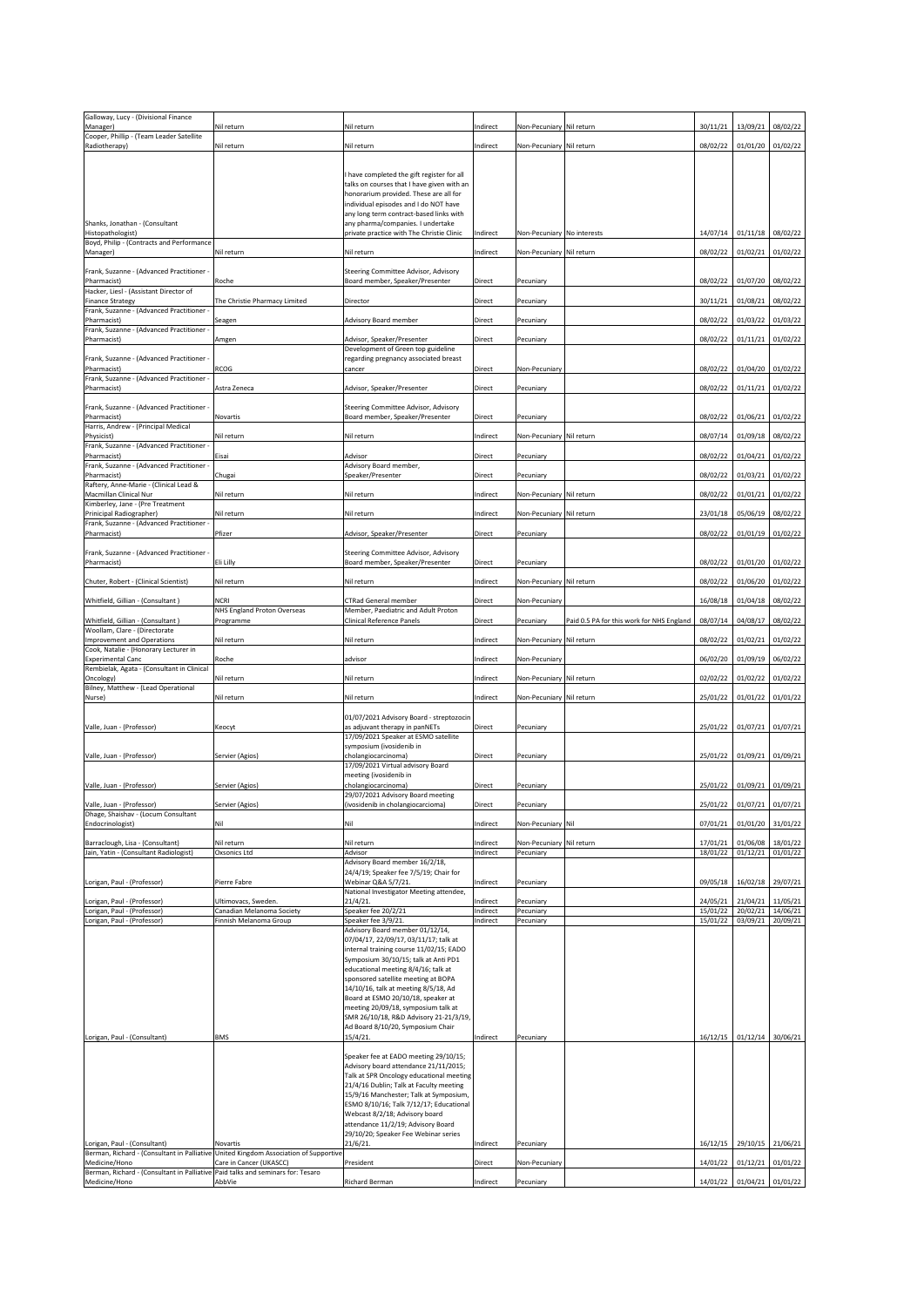| Galloway, Lucy - (Divisional Finance                                                                                                                                                     | Nil return                                        |                                                                                   |                      |                            |                                           |                      |                                |                      |
|------------------------------------------------------------------------------------------------------------------------------------------------------------------------------------------|---------------------------------------------------|-----------------------------------------------------------------------------------|----------------------|----------------------------|-------------------------------------------|----------------------|--------------------------------|----------------------|
| Manager)<br>Cooper, Phillip - (Team Leader Satellite                                                                                                                                     |                                                   | Nil return                                                                        | Indirect             | Non-Pecuniary Nil return   |                                           | 30/11/21             | 13/09/21                       | 08/02/22             |
| Radiotherapy)                                                                                                                                                                            | Nil return                                        | Nil return                                                                        | Indirect             | Non-Pecuniary Nil return   |                                           | 08/02/22             | $01/01/20$ 01/02/22            |                      |
|                                                                                                                                                                                          |                                                   | I have completed the gift register for all                                        |                      |                            |                                           |                      |                                |                      |
|                                                                                                                                                                                          |                                                   | talks on courses that I have given with an                                        |                      |                            |                                           |                      |                                |                      |
|                                                                                                                                                                                          |                                                   | honorarium provided. These are all for<br>individual episodes and I do NOT have   |                      |                            |                                           |                      |                                |                      |
| Shanks, Jonathan - (Consultant                                                                                                                                                           |                                                   | any long term contract-based links with<br>any pharma/companies. I undertake      |                      |                            |                                           |                      |                                |                      |
| Histopathologist)<br>Boyd, Philip - (Contracts and Performance                                                                                                                           |                                                   | private practice with The Christie Clinic                                         | Indirect             | Non-Pecuniary No interests |                                           | 14/07/14             | 01/11/18                       | 08/02/22             |
| Manager)                                                                                                                                                                                 | Nil return                                        | Nil return                                                                        | Indirect             | Non-Pecuniary Nil return   |                                           | 08/02/22             | 01/02/21                       | 01/02/22             |
| Frank, Suzanne - (Advanced Practitioner -                                                                                                                                                |                                                   | Steering Committee Advisor, Advisory                                              |                      |                            |                                           |                      |                                |                      |
| Pharmacist)<br>Hacker, Liesl - (Assistant Director of                                                                                                                                    | Roche                                             | Board member, Speaker/Presenter                                                   | <b>Direct</b>        | Pecuniary                  |                                           | 08/02/22             | 01/07/20                       | 08/02/22             |
| <b>Finance Strategy</b><br>Frank, Suzanne - (Advanced Practitioner -                                                                                                                     | The Christie Pharmacy Limited                     | Director                                                                          | Direct               | Pecuniary                  |                                           | 30/11/21             | 01/08/21                       | 08/02/22             |
| Pharmacist)                                                                                                                                                                              | Seagen                                            | Advisory Board member                                                             | Direct               | Pecuniary                  |                                           | 08/02/22             | 01/03/22                       | 01/03/22             |
| Frank, Suzanne - (Advanced Practitioner -<br>Pharmacist)                                                                                                                                 | Amgen                                             | Advisor, Speaker/Presenter                                                        | <b>Direct</b>        | Pecuniary                  |                                           | 08/02/22 01/11/21    |                                | 01/02/22             |
| Frank, Suzanne - (Advanced Practitioner -                                                                                                                                                |                                                   | Development of Green top guideline<br>regarding pregnancy associated breast       |                      |                            |                                           |                      |                                |                      |
| Pharmacist)                                                                                                                                                                              | <b>RCOG</b>                                       | cancer                                                                            | <b>Direct</b>        | Non-Pecuniary              |                                           | 08/02/22             | 01/04/20                       | 01/02/22             |
| Frank, Suzanne - (Advanced Practitioner -<br>Pharmacist)                                                                                                                                 | Astra Zeneca                                      | Advisor, Speaker/Presenter                                                        | <b>Direct</b>        | Pecuniary                  |                                           | 08/02/22             | 01/11/21                       | 01/02/22             |
| <b>Frank, Suzanne - (Advanced Practitioner -</b>                                                                                                                                         |                                                   | Steering Committee Advisor, Advisory                                              |                      |                            |                                           |                      |                                |                      |
| Pharmacist)<br>Harris, Andrew - (Principal Medical                                                                                                                                       | Novartis                                          | Board member, Speaker/Presenter                                                   | <b>Direct</b>        | Pecuniary                  |                                           |                      | 08/02/22   01/06/21   01/02/22 |                      |
| Physicist)                                                                                                                                                                               | Nil return                                        | Nil return                                                                        | Indirect             | Non-Pecuniary Nil return   |                                           |                      | 08/07/14 01/09/18 08/02/22     |                      |
| Frank, Suzanne - (Advanced Practitioner -<br>Pharmacist)                                                                                                                                 | Eisai                                             | Advisor                                                                           | Direct               | Pecuniary                  |                                           | 08/02/22             | 01/04/21                       | 01/02/22             |
| Frank, Suzanne - (Advanced Practitioner -<br>Pharmacist)                                                                                                                                 | Chugai                                            | Advisory Board member,<br>Speaker/Presenter                                       | <b>Direct</b>        | Pecuniary                  |                                           | 08/02/22             | 01/03/21                       | 01/02/22             |
| Raftery, Anne-Marie - (Clinical Lead &<br>Macmillan Clinical Nur                                                                                                                         | Nil return                                        | Nil return                                                                        | Indirect             | Non-Pecuniary Nil return   |                                           | 08/02/22             | 01/01/21                       | 01/02/22             |
| Kimberley, Jane - (Pre Treatment                                                                                                                                                         |                                                   |                                                                                   |                      |                            |                                           |                      |                                |                      |
| Prinicipal Radiographer)<br>Frank, Suzanne - (Advanced Practitioner -                                                                                                                    | Nil return                                        | Nil return                                                                        | Indirect             | Non-Pecuniary Nil return   |                                           | 23/01/18             | 05/06/19                       | 08/02/22             |
| Pharmacist)                                                                                                                                                                              | Pfizer                                            | Advisor, Speaker/Presenter                                                        | <b>Direct</b>        | Pecuniary                  |                                           | 08/02/22             | 01/01/19                       | 01/02/22             |
| Frank, Suzanne - (Advanced Practitioner -<br>Pharmacist)                                                                                                                                 | <b>Eli Lilly</b>                                  | Steering Committee Advisor, Advisory<br>Board member, Speaker/Presenter           | Direct               | Pecuniary                  |                                           |                      | 08/02/22 01/01/20 01/02/22     |                      |
|                                                                                                                                                                                          |                                                   |                                                                                   |                      |                            |                                           |                      |                                |                      |
| Chuter, Robert - (Clinical Scientist)                                                                                                                                                    | Nil return                                        | Nil return                                                                        | Indirect             | Non-Pecuniary Nil return   |                                           | 08/02/22             | 01/06/20                       | 01/02/22             |
| Whitfield, Gillian - (Consultant)                                                                                                                                                        | <b>NCRI</b><br><b>NHS England Proton Overseas</b> | <b>CTRad General member</b><br>Member, Paediatric and Adult Proton                | <b>Direct</b>        | Non-Pecuniary              |                                           |                      | 16/08/18 01/04/18              | 08/02/22             |
| Whitfield, Gillian - (Consultant)<br>Woollam, Clare - (Directorate                                                                                                                       | Programme                                         | <b>Clinical Reference Panels</b>                                                  | <b>Direct</b>        | Pecuniary                  | Paid 0.5 PA for this work for NHS England | 08/07/14             | 04/08/17                       | 08/02/22             |
| Improvement and Operations<br>Cook, Natalie - (Honorary Lecturer in                                                                                                                      | Nil return                                        | Nil return                                                                        | Indirect             | Non-Pecuniary Nil return   |                                           | 08/02/22 01/02/21    |                                | 01/02/22             |
|                                                                                                                                                                                          |                                                   |                                                                                   |                      |                            |                                           |                      |                                |                      |
| <b>Experimental Canc</b>                                                                                                                                                                 | Roche                                             | advisor                                                                           | Indirect             | Non-Pecuniary              |                                           |                      | 06/02/20 01/09/19              | 06/02/22             |
| Rembielak, Agata - (Consultant in Clinical                                                                                                                                               | Nil return                                        | Nil return                                                                        | Indirect             | Non-Pecuniary Nil return   |                                           | 02/02/22             |                                |                      |
| Oncology)<br>Bilney, Matthew - (Lead Operational                                                                                                                                         |                                                   |                                                                                   |                      |                            |                                           |                      | 01/02/22                       | 01/02/22             |
| Nurse)                                                                                                                                                                                   | Nil return                                        | Nil return                                                                        | Indirect             | Non-Pecuniary Nil return   |                                           | 25/01/22 01/01/22    |                                | 01/01/22             |
| Valle, Juan - (Professor)                                                                                                                                                                | Keocyt                                            | 01/07/2021 Advisory Board - streptozocin<br>as adjuvant therapy in panNETs        | Direct               | Pecuniary                  |                                           |                      | 25/01/22 01/07/21 01/07/21     |                      |
|                                                                                                                                                                                          |                                                   | 17/09/2021 Speaker at ESMO satellite<br>symposium (ivosidenib in                  |                      |                            |                                           |                      |                                |                      |
| Valle, Juan - (Professor)                                                                                                                                                                | Servier (Agios)                                   | cholangiocarcinoma)                                                               | <b>Direct</b>        | Pecuniary                  |                                           | 25/01/22 01/09/21    |                                | 01/09/21             |
|                                                                                                                                                                                          |                                                   | 17/09/2021 Virtual advisory Board<br>meeting (ivosidenib in                       |                      |                            |                                           |                      |                                |                      |
| Valle, Juan - (Professor)                                                                                                                                                                | Servier (Agios)                                   | cholangiocarcinoma)<br>29/07/2021 Advisory Board meeting                          | <b>Direct</b>        | Pecuniary                  |                                           | 25/01/22 01/09/21    |                                | 01/09/21             |
| Valle, Juan - (Professor)                                                                                                                                                                | Servier (Agios)                                   | (ivosidenib in cholangiocarcioma)                                                 | Direct               | Pecuniary                  |                                           | 25/01/22 01/07/21    |                                | 01/07/21             |
| Dhage, Shaishav - (Locum Consultant<br>Endocrinologist)                                                                                                                                  | Nil                                               | Nil                                                                               | Indirect             | Non-Pecuniary Nil          |                                           |                      | 07/01/21 01/01/20 31/01/22     |                      |
| Barraclough, Lisa - (Consultant)                                                                                                                                                         | Nil return                                        | Nil return                                                                        | Indirect             | Non-Pecuniary Nil return   |                                           |                      | 17/01/21 01/06/08              | 18/01/22             |
| Jain, Yatin - (Consultant Radiologist)                                                                                                                                                   | Oxsonics Ltd                                      | Advisor<br>Advisory Board member 16/2/18,                                         | Indirect             | Pecuniary                  |                                           | 18/01/22             | 01/12/21                       | 01/01/22             |
| Lorigan, Paul - (Professor)                                                                                                                                                              | Pierre Fabre                                      | 24/4/19; Speaker fee 7/5/19; Chair for<br>Webinar Q&A 5/7/21.                     | Indirect             | Pecuniary                  |                                           |                      | 09/05/18   16/02/18   29/07/21 |                      |
|                                                                                                                                                                                          |                                                   | National Investigator Meeting attendee,                                           |                      |                            |                                           |                      |                                |                      |
| Lorigan, Paul - (Professor)<br>Lorigan, Paul - (Professor)                                                                                                                               | Ultimovacs, Sweden.<br>Canadian Melanoma Society  | $21/4/21$ .<br>Speaker fee 20/2/21                                                | Indirect<br>Indirect | Pecuniary<br>Pecuniary     |                                           | 24/05/21<br>15/01/22 | 21/04/21<br>20/02/21           | 11/05/21<br>14/06/21 |
| Lorigan, Paul - (Professor)                                                                                                                                                              | Finnish Melanoma Group                            | Speaker fee 3/9/21.<br>Advisory Board member 01/12/14,                            | Indirect             | Pecuniary                  |                                           | 15/01/22             | 03/09/21                       | 20/09/21             |
|                                                                                                                                                                                          |                                                   | 07/04/17, 22/09/17, 03/11/17; talk at                                             |                      |                            |                                           |                      |                                |                      |
|                                                                                                                                                                                          |                                                   | internal training course 11/02/15; EADO<br>Symposium 30/10/15; talk at Anti PD1   |                      |                            |                                           |                      |                                |                      |
|                                                                                                                                                                                          |                                                   | educational meeting 8/4/16; talk at<br>sponsored satellite meeting at BOPA        |                      |                            |                                           |                      |                                |                      |
|                                                                                                                                                                                          |                                                   | 14/10/16, talk at meeting 8/5/18, Ad<br>Board at ESMO 20/10/18, speaker at        |                      |                            |                                           |                      |                                |                      |
|                                                                                                                                                                                          |                                                   | meeting 20/09/18, symposium talk at                                               |                      |                            |                                           |                      |                                |                      |
|                                                                                                                                                                                          |                                                   | SMR 26/10/18, R&D Advisory 21-21/3/19,<br>Ad Board 8/10/20, Symposium Chair       |                      |                            |                                           |                      |                                |                      |
| Lorigan, Paul - (Consultant)                                                                                                                                                             | <b>BMS</b>                                        | 15/4/21.                                                                          | Indirect             | Pecuniary                  |                                           | $16/12/15$ 01/12/14  |                                | 30/06/21             |
|                                                                                                                                                                                          |                                                   | Speaker fee at EADO meeting 29/10/15;<br>Advisory board attendance 21/11/2015;    |                      |                            |                                           |                      |                                |                      |
|                                                                                                                                                                                          |                                                   | Talk at SPR Oncology educational meeting                                          |                      |                            |                                           |                      |                                |                      |
|                                                                                                                                                                                          |                                                   | 21/4/16 Dublin; Talk at Faculty meeting<br>15/9/16 Manchester; Talk at Symposium, |                      |                            |                                           |                      |                                |                      |
|                                                                                                                                                                                          |                                                   | ESMO 8/10/16; Talk 7/12/17; Educational<br>Webcast 8/2/18; Advisory board         |                      |                            |                                           |                      |                                |                      |
|                                                                                                                                                                                          |                                                   | attendance 11/2/19; Advisory Board<br>29/10/20; Speaker Fee Webinar series        |                      |                            |                                           |                      |                                |                      |
| Lorigan, Paul - (Consultant)                                                                                                                                                             | Novartis                                          | 21/6/21.                                                                          | Indirect             | Pecuniary                  |                                           | 16/12/15             | 29/10/15                       | 21/06/21             |
| Berman, Richard - (Consultant in Palliative United Kingdom Association of Supportive<br>Medicine/Hono<br>Berman, Richard - (Consultant in Palliative Paid talks and seminars for: Tesaro | Care in Cancer (UKASCC)                           | President                                                                         | <b>Direct</b>        | Non-Pecuniary              |                                           | 14/01/22 01/12/21    |                                | 01/01/22             |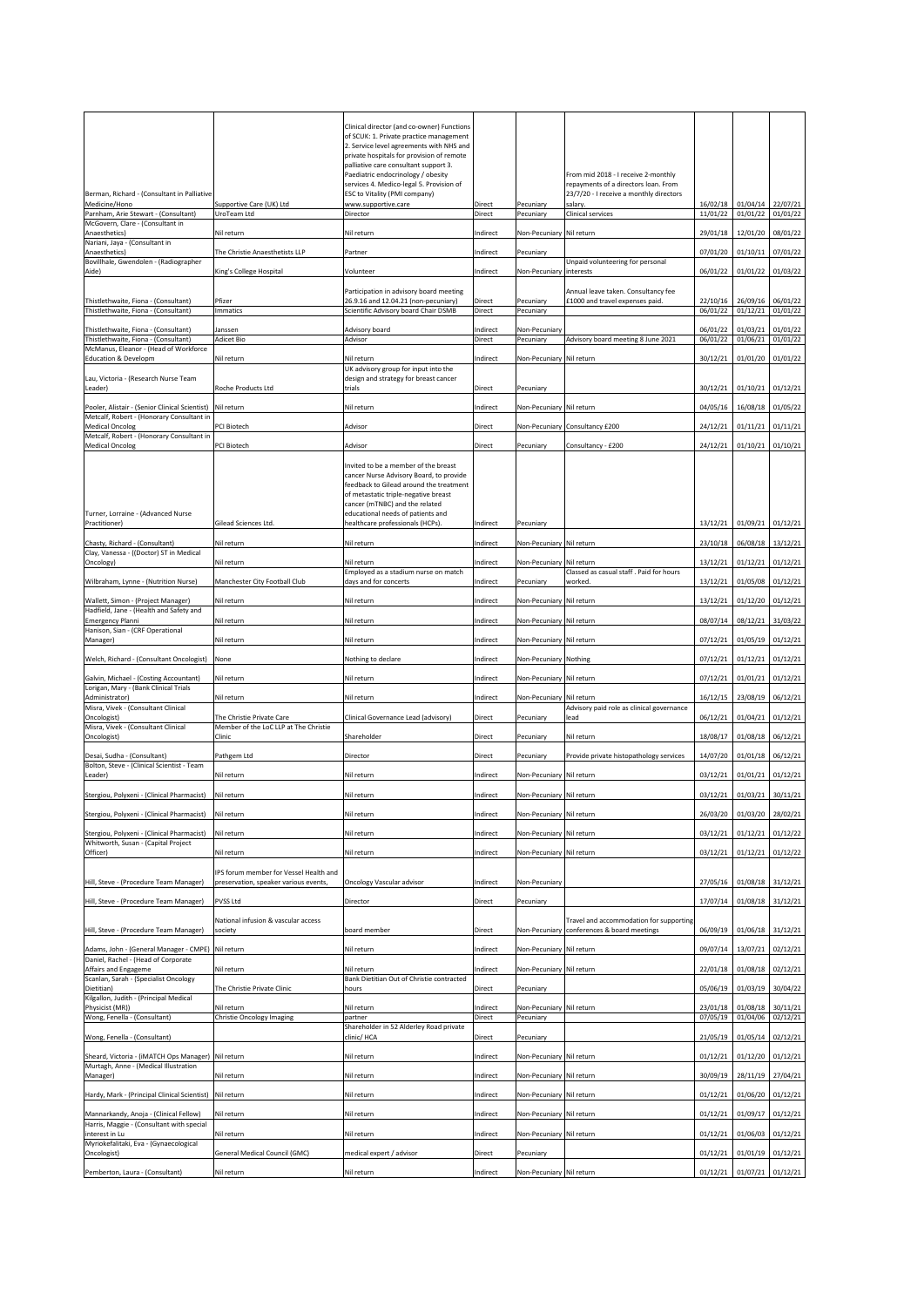|                                                                               |                                        | Clinical director (and co-owner) Functions                                         |               |                          |                                                    |          |                     |                     |
|-------------------------------------------------------------------------------|----------------------------------------|------------------------------------------------------------------------------------|---------------|--------------------------|----------------------------------------------------|----------|---------------------|---------------------|
|                                                                               |                                        | of SCUK: 1. Private practice management                                            |               |                          |                                                    |          |                     |                     |
|                                                                               |                                        | 2. Service level agreements with NHS and                                           |               |                          |                                                    |          |                     |                     |
|                                                                               |                                        | private hospitals for provision of remote<br>palliative care consultant support 3. |               |                          |                                                    |          |                     |                     |
|                                                                               |                                        | Paediatric endocrinology / obesity                                                 |               |                          | From mid 2018 - I receive 2-monthly                |          |                     |                     |
|                                                                               |                                        | services 4. Medico-legal 5. Provision of                                           |               |                          | repayments of a directors loan. From               |          |                     |                     |
| Berman, Richard - (Consultant in Palliative<br>Medicine/Hono                  | Supportive Care (UK) Ltd               | <b>ESC to Vitality (PMI company)</b><br>www.supportive.care                        | <b>Direct</b> | Pecuniary                | 23/7/20 - I receive a monthly directors<br>salary. | 16/02/18 | 01/04/14 22/07/21   |                     |
| Parnham, Arie Stewart - (Consultant)                                          | UroTeam Ltd                            | Director                                                                           | Direct        | Pecuniary                | <b>Clinical services</b>                           | 11/01/22 | 01/01/22            | 01/01/22            |
| McGovern, Clare - (Consultant in                                              |                                        |                                                                                    |               |                          |                                                    |          |                     |                     |
| Anaesthetics)<br>Nariani, Jaya - (Consultant in                               | Nil return                             | Nil return                                                                         | Indirect      | Non-Pecuniary Nil return |                                                    | 29/01/18 | 12/01/20            | 08/01/22            |
| Anaesthetics)                                                                 | The Christie Anaesthetists LLP         | Partner                                                                            | Indirect      | Pecuniary                |                                                    | 07/01/20 | $01/10/11$ 07/01/22 |                     |
| Bovillhale, Gwendolen - (Radiographer                                         |                                        |                                                                                    |               |                          | Unpaid volunteering for personal                   |          |                     |                     |
| Aide)                                                                         | King's College Hospital                | Volunteer                                                                          | Indirect      | Non-Pecuniary linterests |                                                    | 06/01/22 | $01/01/22$ 01/03/22 |                     |
|                                                                               |                                        | Participation in advisory board meeting                                            |               |                          | Annual leave taken. Consultancy fee                |          |                     |                     |
| Thistlethwaite, Fiona - (Consultant)                                          | Pfizer                                 | 26.9.16 and 12.04.21 (non-pecuniary)                                               | <b>Direct</b> | Pecuniary                | £1000 and travel expenses paid.                    | 22/10/16 |                     | 26/09/16 06/01/22   |
| Thistlethwaite, Fiona - (Consultant)                                          | <b>Immatics</b>                        | Scientific Advisory board Chair DSMB                                               | Direct        | Pecuniary                |                                                    | 06/01/22 | 01/12/21            | 01/01/22            |
| Thistlethwaite, Fiona - (Consultant)                                          | Janssen                                | Advisory board                                                                     | Indirect      | Non-Pecuniary            |                                                    | 06/01/22 | 01/03/21            | 01/01/22            |
| Thistlethwaite, Fiona - (Consultant)                                          | <b>Adicet Bio</b>                      | Advisor                                                                            | Direct        | Pecuniary                | Advisory board meeting 8 June 2021                 | 06/01/22 | 01/06/21            | 01/01/22            |
| McManus, Eleanor - (Head of Workforce<br><b>Education &amp; Developm</b>      | Nil return                             | Nil return                                                                         | Indirect      | Non-Pecuniary Nil return |                                                    | 30/12/21 | $01/01/20$ 01/01/22 |                     |
|                                                                               |                                        | UK advisory group for input into the                                               |               |                          |                                                    |          |                     |                     |
| Lau, Victoria - (Research Nurse Team                                          |                                        | design and strategy for breast cancer                                              |               |                          |                                                    |          |                     |                     |
| Leader)                                                                       | <b>Roche Products Ltd</b>              | trials                                                                             | Direct        | Pecuniary                |                                                    | 30/12/21 | 01/10/21            | 01/12/21            |
| Pooler, Alistair - (Senior Clinical Scientist) Nil return                     |                                        | Nil return                                                                         | Indirect      | Non-Pecuniary Nil return |                                                    | 04/05/16 |                     | 16/08/18 01/05/22   |
| Metcalf, Robert - (Honorary Consultant in                                     |                                        |                                                                                    |               |                          |                                                    |          |                     |                     |
| <b>Medical Oncolog</b>                                                        | PCI Biotech                            | Advisor                                                                            | Direct        |                          | Non-Pecuniary Consultancy £200                     | 24/12/21 | $01/11/21$ 01/11/21 |                     |
| Metcalf, Robert - (Honorary Consultant in<br>Medical Oncolog                  | <b>PCI Biotech</b>                     | Advisor                                                                            | <b>Direct</b> | Pecuniary                | Consultancy - £200                                 | 24/12/21 | 01/10/21            | 01/10/21            |
|                                                                               |                                        |                                                                                    |               |                          |                                                    |          |                     |                     |
|                                                                               |                                        | Invited to be a member of the breast                                               |               |                          |                                                    |          |                     |                     |
|                                                                               |                                        | cancer Nurse Advisory Board, to provide<br>feedback to Gilead around the treatment |               |                          |                                                    |          |                     |                     |
|                                                                               |                                        | of metastatic triple-negative breast                                               |               |                          |                                                    |          |                     |                     |
|                                                                               |                                        | cancer (mTNBC) and the related                                                     |               |                          |                                                    |          |                     |                     |
| Turner, Lorraine - (Advanced Nurse<br>Practitioner)                           | Gilead Sciences Ltd.                   | educational needs of patients and<br>healthcare professionals (HCPs).              | Indirect      | Pecuniary                |                                                    | 13/12/21 | 01/09/21            | 01/12/21            |
|                                                                               |                                        |                                                                                    |               |                          |                                                    |          |                     |                     |
| Chasty, Richard - (Consultant)                                                | Nil return                             | Nil return                                                                         | Indirect      | Non-Pecuniary Nil return |                                                    | 23/10/18 | 06/08/18 13/12/21   |                     |
| Clay, Vanessa - ((Doctor) ST in Medical<br>Oncology)                          | Nil return                             | Nil return                                                                         | Indirect      | Non-Pecuniary Nil return |                                                    | 13/12/21 | $01/12/21$ 01/12/21 |                     |
|                                                                               |                                        | Employed as a stadium nurse on match                                               |               |                          | Classed as casual staff. Paid for hours            |          |                     |                     |
| Wilbraham, Lynne - (Nutrition Nurse)                                          | Manchester City Football Club          | days and for concerts                                                              | Indirect      | Pecuniary                | worked.                                            | 13/12/21 | $01/05/08$ 01/12/21 |                     |
| Wallett, Simon - (Project Manager)                                            | Nil return                             | Nil return                                                                         | Indirect      | Non-Pecuniary Nil return |                                                    | 13/12/21 | $01/12/20$ 01/12/21 |                     |
| Hadfield, Jane - (Health and Safety and                                       |                                        |                                                                                    |               |                          |                                                    |          |                     |                     |
| <b>Emergency Planni</b>                                                       | Nil return                             | Nil return                                                                         | Indirect      | Non-Pecuniary Nil return |                                                    | 08/07/14 |                     | 08/12/21 31/03/22   |
| Hanison, Sian - (CRF Operational<br>Manager)                                  | Nil return                             | Nil return                                                                         | Indirect      | Non-Pecuniary Nil return |                                                    | 07/12/21 | $01/05/19$ 01/12/21 |                     |
|                                                                               |                                        |                                                                                    |               |                          |                                                    |          |                     |                     |
| Welch, Richard - (Consultant Oncologist)                                      | None                                   | Nothing to declare                                                                 | Indirect      | Non-Pecuniary Nothing    |                                                    | 07/12/21 | $01/12/21$ 01/12/21 |                     |
| Galvin, Michael - (Costing Accountant)                                        | Nil return                             | Nil return                                                                         | Indirect      | Non-Pecuniary Nil return |                                                    | 07/12/21 | $01/01/21$ 01/12/21 |                     |
| Lorigan, Mary - (Bank Clinical Trials                                         |                                        |                                                                                    |               |                          |                                                    |          |                     |                     |
| Administrator)                                                                | Nil return                             | Nil return                                                                         | Indirect      | Non-Pecuniary Nil return |                                                    | 16/12/15 | 23/08/19 06/12/21   |                     |
| Misra, Vivek - (Consultant Clinical<br>Oncologist)                            | The Christie Private Care              | Clinical Governance Lead (advisory)                                                | <b>Direct</b> | Pecuniary                | Advisory paid role as clinical governance<br>lead  | 06/12/21 | $01/04/21$ 01/12/21 |                     |
| Misra, Vivek - (Consultant Clinical                                           | Member of the LoC LLP at The Christie  |                                                                                    |               |                          |                                                    |          |                     |                     |
| Oncologist)                                                                   | Clinic                                 | Shareholder                                                                        | <b>Direct</b> | Pecuniary                | Nil return                                         | 18/08/17 | $01/08/18$ 06/12/21 |                     |
| Desai, Sudha - (Consultant)                                                   | Pathgem Ltd                            | Director                                                                           | <b>Direct</b> | Pecuniary                | Provide private histopathology services            | 14/07/20 | $01/01/18$ 06/12/21 |                     |
| Bolton, Steve - (Clinical Scientist - Team                                    |                                        |                                                                                    |               |                          |                                                    |          |                     |                     |
| Leader)                                                                       | Nil return                             | Nil return                                                                         | Indirect      | Non-Pecuniary Nil return |                                                    | 03/12/21 | 01/01/21            | 01/12/21            |
| Stergiou, Polyxeni - (Clinical Pharmacist)                                    | Nil return                             | Nil return                                                                         | Indirect      | Non-Pecuniary Nil return |                                                    | 03/12/21 | $01/03/21$ 30/11/21 |                     |
|                                                                               |                                        |                                                                                    |               |                          |                                                    |          |                     |                     |
| Stergiou, Polyxeni - (Clinical Pharmacist)                                    | Nil return                             | Nil return                                                                         | Indirect      | Non-Pecuniary Nil return |                                                    | 26/03/20 | $01/03/20$ 28/02/21 |                     |
| Stergiou, Polyxeni - (Clinical Pharmacist)                                    | Nil return                             | Nil return                                                                         | Indirect      | Non-Pecuniary Nil return |                                                    | 03/12/21 | $01/12/21$ 01/12/22 |                     |
| Whitworth, Susan - (Capital Project                                           |                                        |                                                                                    |               |                          |                                                    |          |                     |                     |
| Officer)                                                                      | Nil return                             | Nil return                                                                         | Indirect      | Non-Pecuniary Nil return |                                                    | 03/12/21 | 01/12/21            | 01/12/22            |
|                                                                               | IPS forum member for Vessel Health and |                                                                                    |               |                          |                                                    |          |                     |                     |
| Hill, Steve - (Procedure Team Manager)                                        |                                        |                                                                                    |               |                          |                                                    |          |                     |                     |
|                                                                               | preservation, speaker various events,  | <b>Oncology Vascular advisor</b>                                                   | Indirect      | Non-Pecuniary            |                                                    | 27/05/16 | $01/08/18$ 31/12/21 |                     |
|                                                                               |                                        |                                                                                    |               |                          |                                                    |          |                     |                     |
| Hill, Steve - (Procedure Team Manager)                                        | PVSS Ltd                               | Director                                                                           | <b>Direct</b> | Pecuniary                |                                                    | 17/07/14 | $01/08/18$ 31/12/21 |                     |
|                                                                               | National infusion & vascular access    |                                                                                    |               |                          | Travel and accommodation for supporting            |          |                     |                     |
| Hill, Steve - (Procedure Team Manager)                                        | society                                | board member                                                                       | Direct        |                          | Non-Pecuniary conferences & board meetings         | 06/09/19 | $01/06/18$ 31/12/21 |                     |
|                                                                               |                                        |                                                                                    |               |                          |                                                    |          |                     |                     |
| Adams, John - (General Manager - CMPE)<br>Daniel, Rachel - (Head of Corporate | Nil return                             | Nil return                                                                         | Indirect      | Non-Pecuniary Nil return |                                                    | 09/07/14 | 13/07/21 02/12/21   |                     |
| Affairs and Engageme                                                          | Nil return                             | Nil return                                                                         | Indirect      | Non-Pecuniary Nil return |                                                    | 22/01/18 | $01/08/18$ 02/12/21 |                     |
| Scanlan, Sarah - (Specialist Oncology                                         |                                        | Bank Dietitian Out of Christie contracted                                          |               |                          |                                                    |          |                     |                     |
| Dietitian)<br>Kilgallon, Judith - (Principal Medical                          | The Christie Private Clinic            | hours                                                                              | Direct        | Pecuniary                |                                                    | 05/06/19 | 01/03/19 30/04/22   |                     |
| Physicist (MR))                                                               | Nil return                             | Nil return                                                                         | Indirect      | Non-Pecuniary Nil return |                                                    | 23/01/18 | $01/08/18$ 30/11/21 |                     |
| Wong, Fenella - (Consultant)                                                  | Christie Oncology Imaging              | partner                                                                            | <b>Direct</b> | Pecuniary                |                                                    | 07/05/19 | 01/04/06            | 02/12/21            |
| Wong, Fenella - (Consultant)                                                  |                                        | Shareholder in 52 Alderley Road private<br>clinic/HCA                              | Direct        | Pecuniary                |                                                    | 21/05/19 |                     | $01/05/14$ 02/12/21 |
|                                                                               |                                        |                                                                                    |               |                          |                                                    |          |                     |                     |
| Sheard, Victoria - (iMATCH Ops Manager) Nil return                            |                                        | Nil return                                                                         | Indirect      | Non-Pecuniary Nil return |                                                    | 01/12/21 | $01/12/20$ 01/12/21 |                     |
| Murtagh, Anne - (Medical Illustration<br>Manager)                             | Nil return                             | Nil return                                                                         | Indirect      | Non-Pecuniary Nil return |                                                    | 30/09/19 |                     | 28/11/19 27/04/21   |
|                                                                               |                                        |                                                                                    |               |                          |                                                    |          |                     |                     |
| Hardy, Mark - (Principal Clinical Scientist)                                  | Nil return                             | Nil return                                                                         | Indirect      | Non-Pecuniary Nil return |                                                    | 01/12/21 | $01/06/20$ 01/12/21 |                     |
| Mannarkandy, Anoja - (Clinical Fellow)                                        | Nil return                             | Nil return                                                                         | Indirect      | Non-Pecuniary Nil return |                                                    | 01/12/21 | $01/09/17$ 01/12/21 |                     |
| Harris, Maggie - (Consultant with special                                     |                                        |                                                                                    |               |                          |                                                    |          |                     |                     |
| interest in Lu                                                                | Nil return                             | Nil return                                                                         | Indirect      | Non-Pecuniary Nil return |                                                    | 01/12/21 | $01/06/03$ 01/12/21 |                     |
| Myriokefalitaki, Eva - (Gynaecological<br>Oncologist)                         | <b>General Medical Council (GMC)</b>   | medical expert / advisor                                                           | Direct        | Pecuniary                |                                                    | 01/12/21 | $01/01/19$ 01/12/21 |                     |
| Pemberton, Laura - (Consultant)                                               | Nil return                             | Nil return                                                                         | Indirect      | Non-Pecuniary Nil return |                                                    | 01/12/21 | $01/07/21$ 01/12/21 |                     |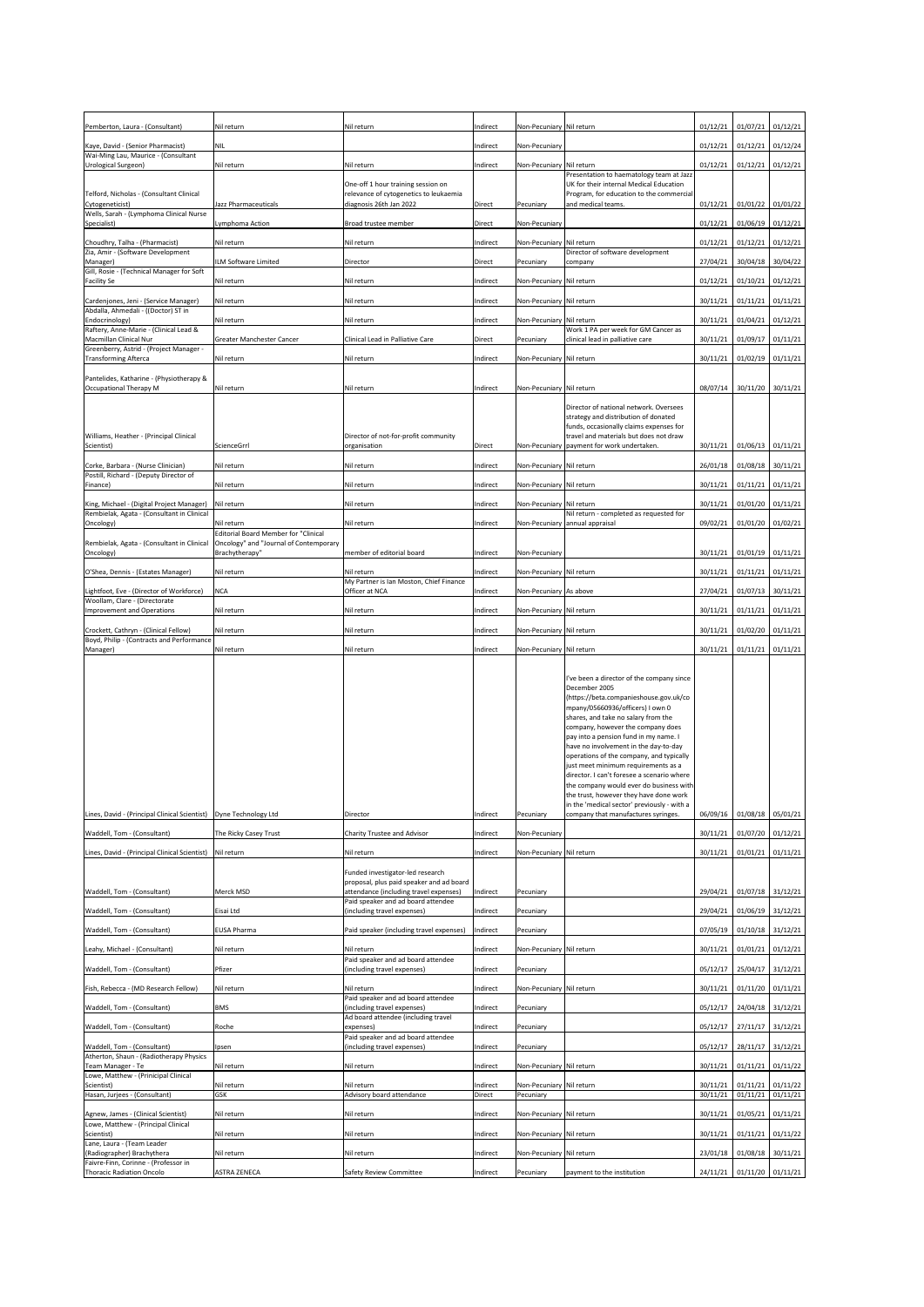| Pemberton, Laura - (Consultant)                                                    | Nil return                                                                            | Nil return                                                                         | Indirect             | Non-Pecuniary Nil return              |                                                                                     | 01/12/21             | 01/07/21            | 01/12/21                         |
|------------------------------------------------------------------------------------|---------------------------------------------------------------------------------------|------------------------------------------------------------------------------------|----------------------|---------------------------------------|-------------------------------------------------------------------------------------|----------------------|---------------------|----------------------------------|
| Kaye, David - (Senior Pharmacist)                                                  | <b>NIL</b>                                                                            |                                                                                    | Indirect             | Non-Pecuniary                         |                                                                                     | 01/12/21             | 01/12/21            | 01/12/24                         |
| Wai-Ming Lau, Maurice - (Consultant<br>Urological Surgeon)                         | Nil return                                                                            | Nil return                                                                         | Indirect             | Non-Pecuniary Nil return              |                                                                                     | 01/12/21             | 01/12/21            | 01/12/21                         |
|                                                                                    |                                                                                       | One-off 1 hour training session on                                                 |                      |                                       | Presentation to haematology team at Jazz<br>UK for their internal Medical Education |                      |                     |                                  |
| Telford, Nicholas - (Consultant Clinical<br>Cytogeneticist)                        | <b>Jazz Pharmaceuticals</b>                                                           | relevance of cytogenetics to leukaemia<br>diagnosis 26th Jan 2022                  | <b>Direct</b>        | Pecuniary                             | Program, for education to the commercial<br>and medical teams.                      | 01/12/21             | $01/01/22$ 01/01/22 |                                  |
| Wells, Sarah - (Lymphoma Clinical Nurse<br>Specialist)                             | Lymphoma Action                                                                       | Broad trustee member                                                               | Direct               | Non-Pecuniary                         |                                                                                     | 01/12/21             | $01/06/19$ 01/12/21 |                                  |
| Choudhry, Talha - (Pharmacist)                                                     | Nil return                                                                            | Nil return                                                                         | Indirect             | Non-Pecuniary Nil return              |                                                                                     | 01/12/21             | 01/12/21            | 01/12/21                         |
| Zia, Amir - (Software Development<br>Manager)                                      | ILM Software Limited                                                                  | Director                                                                           | <b>Direct</b>        | Pecuniary                             | Director of software development<br>company                                         | 27/04/21             | 30/04/18 30/04/22   |                                  |
| Gill, Rosie - (Technical Manager for Soft<br><b>Facility Se</b>                    | Nil return                                                                            | Nil return                                                                         | Indirect             | Non-Pecuniary Nil return              |                                                                                     | 01/12/21             | 01/10/21            | 01/12/21                         |
| Cardenjones, Jeni - (Service Manager)                                              | Nil return                                                                            | Nil return                                                                         | Indirect             | Non-Pecuniary Nil return              |                                                                                     | 30/11/21             | 01/11/21            | 01/11/21                         |
| Abdalla, Ahmedali - ((Doctor) ST in<br>Endocrinology)                              | Nil return                                                                            | Nil return                                                                         | Indirect             | Non-Pecuniary Nil return              |                                                                                     | 30/11/21             | 01/04/21            | 01/12/21                         |
| Raftery, Anne-Marie - (Clinical Lead &<br>Macmillan Clinical Nur                   | <b>Greater Manchester Cancer</b>                                                      | Clinical Lead in Palliative Care                                                   | <b>Direct</b>        | Pecuniary                             | Work 1 PA per week for GM Cancer as<br>clinical lead in palliative care             | 30/11/21             | 01/09/17            | 01/11/21                         |
| Greenberry, Astrid - (Project Manager -<br><b>Transforming Afterca</b>             | Nil return                                                                            | Nil return                                                                         | Indirect             | Non-Pecuniary Nil return              |                                                                                     | 30/11/21             | $01/02/19$ 01/11/21 |                                  |
| Pantelides, Katharine - (Physiotherapy &                                           |                                                                                       |                                                                                    |                      |                                       |                                                                                     |                      |                     |                                  |
| Occupational Therapy M                                                             | Nil return                                                                            | Nil return                                                                         | Indirect             | Non-Pecuniary Nil return              |                                                                                     | 08/07/14             | 30/11/20            | 30/11/21                         |
|                                                                                    |                                                                                       |                                                                                    |                      |                                       | Director of national network. Oversees<br>strategy and distribution of donated      |                      |                     |                                  |
| Williams, Heather - (Principal Clinical                                            |                                                                                       | Director of not-for-profit community                                               |                      |                                       | funds, occasionally claims expenses for<br>travel and materials but does not draw   |                      |                     |                                  |
| Scientist)                                                                         | ScienceGrrl                                                                           | organisation                                                                       | <b>Direct</b>        |                                       | Non-Pecuniary payment for work undertaken.                                          | 30/11/21             | $01/06/13$ 01/11/21 |                                  |
| Corke, Barbara - (Nurse Clinician)<br>Postill, Richard - (Deputy Director of       | Nil return                                                                            | Nil return                                                                         | Indirect             | Non-Pecuniary Nil return              |                                                                                     | 26/01/18             |                     | $01/08/18$ 30/11/21              |
| Finance)                                                                           | Nil return                                                                            | Nil return                                                                         | Indirect             | Non-Pecuniary Nil return              |                                                                                     | 30/11/21             | $01/11/21$ 01/11/21 |                                  |
| King, Michael - (Digital Project Manager)                                          | Nil return                                                                            | Nil return                                                                         | Indirect             | Non-Pecuniary Nil return              |                                                                                     | 30/11/21             | $01/01/20$ 01/11/21 |                                  |
| Rembielak, Agata - (Consultant in Clinical<br>Oncology)                            | Nil return                                                                            | Nil return                                                                         | Indirect             |                                       | Nil return - completed as requested for<br>Non-Pecuniary annual appraisal           | 09/02/21             | 01/01/20 01/02/21   |                                  |
| Rembielak, Agata - (Consultant in Clinical                                         | <b>Editorial Board Member for "Clinical</b><br>Oncology" and "Journal of Contemporary |                                                                                    |                      |                                       |                                                                                     |                      |                     |                                  |
| Oncology)                                                                          | Brachytherapy"                                                                        | member of editorial board                                                          | Indirect             | Non-Pecuniary                         |                                                                                     | 30/11/21             | $01/01/19$ 01/11/21 |                                  |
| O'Shea, Dennis - (Estates Manager)                                                 | Nil return                                                                            | Nil return<br>My Partner is Ian Moston, Chief Finance                              | Indirect             | Non-Pecuniary Nil return              |                                                                                     | 30/11/21             | $01/11/21$ 01/11/21 |                                  |
| Lightfoot, Eve - (Director of Workforce)<br>Woollam, Clare - (Directorate          | <b>NCA</b>                                                                            | Officer at NCA                                                                     | Indirect             | Non-Pecuniary As above                |                                                                                     | 27/04/21             | $01/07/13$ 30/11/21 |                                  |
| Improvement and Operations                                                         | Nil return                                                                            | Nil return                                                                         | Indirect             | Non-Pecuniary Nil return              |                                                                                     | 30/11/21             | $01/11/21$ 01/11/21 |                                  |
| Crockett, Cathryn - (Clinical Fellow)<br>Boyd, Philip - (Contracts and Performance | Nil return                                                                            | Nil return                                                                         | Indirect             | Non-Pecuniary Nil return              |                                                                                     | 30/11/21             |                     | $01/02/20$ 01/11/21              |
| Manager)                                                                           | Nil return                                                                            | Nil return                                                                         | Indirect             | Non-Pecuniary Nil return              |                                                                                     | 30/11/21             | $01/11/21$ 01/11/21 |                                  |
|                                                                                    |                                                                                       |                                                                                    |                      |                                       | I've been a director of the company since                                           |                      |                     |                                  |
|                                                                                    |                                                                                       |                                                                                    |                      |                                       | December 2005<br>(https://beta.companieshouse.gov.uk/co                             |                      |                     |                                  |
|                                                                                    |                                                                                       |                                                                                    |                      |                                       | mpany/05660936/officers) I own 0<br>shares, and take no salary from the             |                      |                     |                                  |
|                                                                                    |                                                                                       |                                                                                    |                      |                                       | company, however the company does<br>pay into a pension fund in my name.            |                      |                     |                                  |
|                                                                                    |                                                                                       |                                                                                    |                      |                                       | have no involvement in the day-to-day<br>operations of the company, and typically   |                      |                     |                                  |
|                                                                                    |                                                                                       |                                                                                    |                      |                                       | just meet minimum requirements as a<br>director. I can't foresee a scenario where   |                      |                     |                                  |
|                                                                                    |                                                                                       |                                                                                    |                      |                                       | the company would ever do business with<br>the trust, however they have done work   |                      |                     |                                  |
| Lines, David - (Principal Clinical Scientist)                                      | Dyne Technology Ltd                                                                   | Director                                                                           | Indirect             | Pecuniary                             | in the 'medical sector' previously - with a<br>company that manufactures syringes.  | 06/09/16             | $01/08/18$ 05/01/21 |                                  |
| Waddell, Tom - (Consultant)                                                        | The Ricky Casey Trust                                                                 | Charity Trustee and Advisor                                                        | Indirect             | Non-Pecuniary                         |                                                                                     | 30/11/21             | 01/07/20 01/12/21   |                                  |
| Lines, David - (Principal Clinical Scientist)                                      | Nil return                                                                            | Nil return                                                                         | Indirect             | Non-Pecuniary Nil return              |                                                                                     | 30/11/21             | 01/01/21            | 01/11/21                         |
|                                                                                    |                                                                                       | Funded investigator-led research                                                   |                      |                                       |                                                                                     |                      |                     |                                  |
| Waddell, Tom - (Consultant)                                                        | Merck MSD                                                                             | proposal, plus paid speaker and ad board<br>attendance (including travel expenses) | Indirect             | Pecuniary                             |                                                                                     | 29/04/21             | $01/07/18$ 31/12/21 |                                  |
| Waddell, Tom - (Consultant)                                                        | Eisai Ltd                                                                             | Paid speaker and ad board attendee<br>(including travel expenses)                  | Indirect             | Pecuniary                             |                                                                                     | 29/04/21             | $01/06/19$ 31/12/21 |                                  |
| Waddell, Tom - (Consultant)                                                        | <b>EUSA Pharma</b>                                                                    | Paid speaker (including travel expenses)                                           | Indirect             | Pecuniary                             |                                                                                     | 07/05/19             |                     | $01/10/18$ 31/12/21              |
| Leahy, Michael - (Consultant)                                                      |                                                                                       | Nil return                                                                         |                      | Non-Pecuniary Nil return              |                                                                                     | 30/11/21             | $01/01/21$ 01/12/21 |                                  |
| Waddell, Tom - (Consultant)                                                        | Nil return<br>Pfizer                                                                  | Paid speaker and ad board attendee<br>(including travel expenses)                  | Indirect<br>Indirect | Pecuniary                             |                                                                                     | 05/12/17             |                     | 25/04/17 31/12/21                |
|                                                                                    |                                                                                       |                                                                                    |                      |                                       |                                                                                     |                      |                     |                                  |
| Fish, Rebecca - (MD Research Fellow)                                               | Nil return                                                                            | Nil return<br>Paid speaker and ad board attendee                                   | Indirect             | Non-Pecuniary Nil return              |                                                                                     | 30/11/21             | $01/11/20$ 01/11/21 |                                  |
| Waddell, Tom - (Consultant)                                                        | <b>BMS</b>                                                                            | (including travel expenses)<br>Ad board attendee (including travel                 | Indirect             | Pecuniary                             |                                                                                     | 05/12/17             | 24/04/18 31/12/21   |                                  |
| Waddell, Tom - (Consultant)                                                        | Roche                                                                                 | expenses)<br>Paid speaker and ad board attendee                                    | Indirect             | Pecuniary                             |                                                                                     |                      |                     | $05/12/17$   27/11/17   31/12/21 |
| Waddell, Tom - (Consultant)<br>Atherton, Shaun - (Radiotherapy Physics             | Ipsen                                                                                 | (including travel expenses)                                                        | Indirect             | Pecuniary                             |                                                                                     | 05/12/17             |                     | 28/11/17 31/12/21                |
| Team Manager - Te<br>Lowe, Matthew - (Prinicipal Clinical                          | Nil return                                                                            | Nil return                                                                         | Indirect             | Non-Pecuniary Nil return              |                                                                                     | 30/11/21             | 01/11/21            | 01/11/22                         |
| Scientist)<br>Hasan, Jurjees - (Consultant)                                        | Nil return<br><b>GSK</b>                                                              | Nil return<br>Advisory board attendance                                            | Indirect<br>Direct   | Non-Pecuniary Nil return<br>Pecuniary |                                                                                     | 30/11/21<br>30/11/21 | 01/11/21            | $01/11/21$ 01/11/22<br>01/11/21  |
| Agnew, James - (Clinical Scientist)                                                | Nil return                                                                            | Nil return                                                                         | Indirect             | Non-Pecuniary Nil return              |                                                                                     | 30/11/21             |                     | $01/05/21$ 01/11/21              |
| Lowe, Matthew - (Principal Clinical<br>Scientist)                                  | Nil return                                                                            | Nil return                                                                         | Indirect             | Non-Pecuniary Nil return              |                                                                                     | 30/11/21             |                     | $01/11/21$ 01/11/22              |
| Lane, Laura - (Team Leader<br>(Radiographer) Brachythera                           | Nil return                                                                            | Nil return                                                                         | Indirect             | Non-Pecuniary Nil return              |                                                                                     | 23/01/18             |                     | $01/08/18$ 30/11/21              |
| Faivre-Finn, Corinne - (Professor in<br>Thoracic Radiation Oncolo                  | <b>ASTRA ZENECA</b>                                                                   | Safety Review Committee                                                            | Indirect             | Pecuniary                             | payment to the institution                                                          | 24/11/21             |                     | $01/11/20$ 01/11/21              |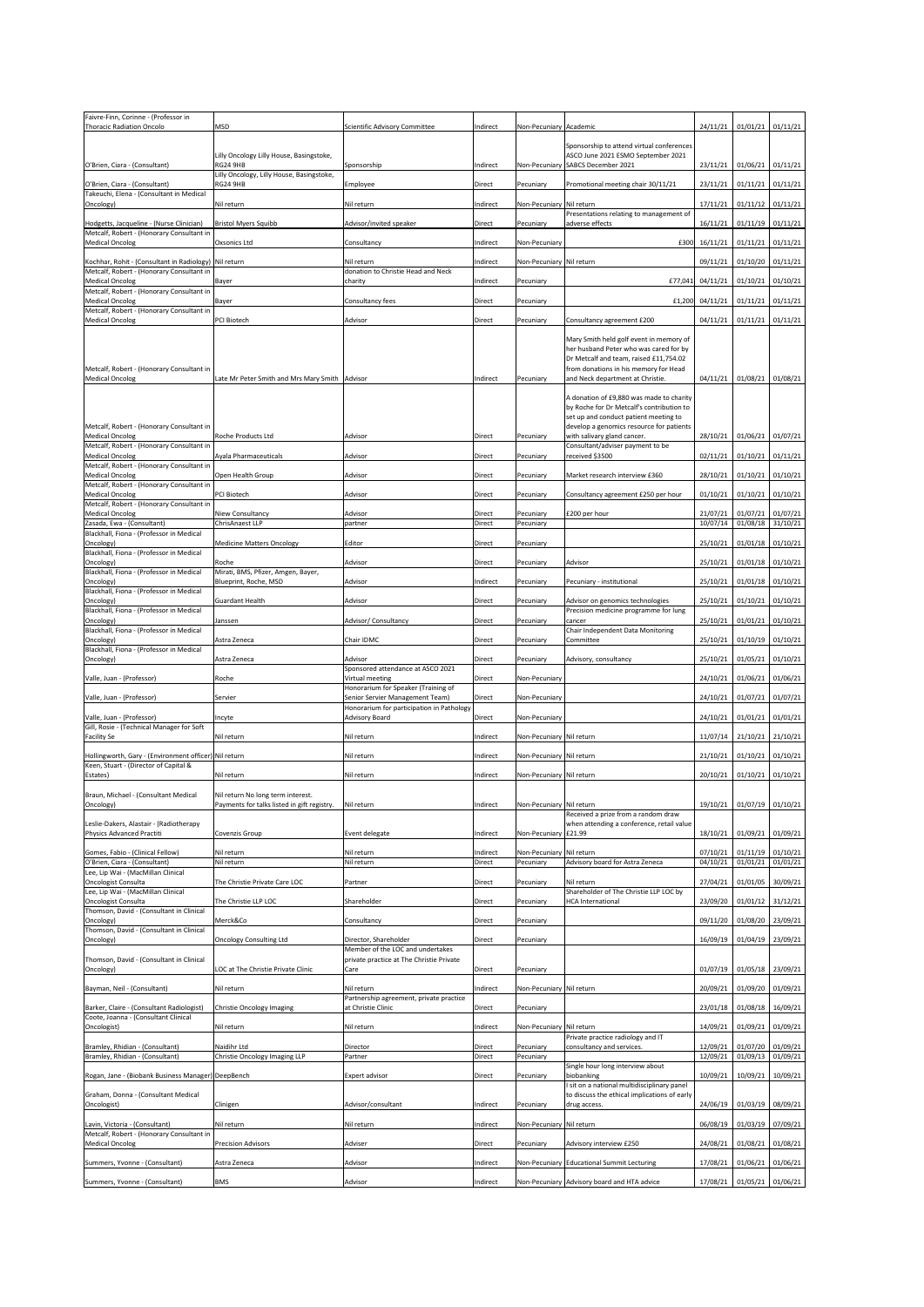| Faivre-Finn, Corinne - (Professor in<br>Thoracic Radiation Oncolo                              | <b>MSD</b>                                                                       | Scientific Advisory Committee                                                | Indirect                  | Non-Pecuniary Academic                |                                                                                                                                                                            | 24/11/21             | $01/01/21$ 01/11/21                        |          |
|------------------------------------------------------------------------------------------------|----------------------------------------------------------------------------------|------------------------------------------------------------------------------|---------------------------|---------------------------------------|----------------------------------------------------------------------------------------------------------------------------------------------------------------------------|----------------------|--------------------------------------------|----------|
|                                                                                                |                                                                                  |                                                                              |                           |                                       |                                                                                                                                                                            |                      |                                            |          |
|                                                                                                | Lilly Oncology Lilly House, Basingstoke,                                         |                                                                              |                           |                                       | Sponsorship to attend virtual conferences<br>ASCO June 2021 ESMO September 2021                                                                                            |                      |                                            |          |
| O'Brien, Ciara - (Consultant)                                                                  | <b>RG24 9HB</b><br>Lilly Oncology, Lilly House, Basingstoke,                     | Sponsorship                                                                  | Indirect                  |                                       | Non-Pecuniary SABCS December 2021                                                                                                                                          | 23/11/21             | $01/06/21$ 01/11/21                        |          |
| O'Brien, Ciara - (Consultant)<br>Takeuchi, Elena - (Consultant in Medical                      | <b>RG24 9HB</b>                                                                  | Employee                                                                     | <b>Direct</b>             | Pecuniary                             | Promotional meeting chair 30/11/21                                                                                                                                         | 23/11/21             | $01/11/21$ 01/11/21                        |          |
| Oncology)                                                                                      | Nil return                                                                       | Nil return                                                                   | Indirect                  | Non-Pecuniary Nil return              | Presentations relating to management of                                                                                                                                    | 17/11/21             | $01/11/12$ 01/11/21                        |          |
| Hodgetts, Jacqueline - (Nurse Clinician)<br>Metcalf, Robert - (Honorary Consultant in          | <b>Bristol Myers Squibb</b>                                                      | Advisor/invited speaker                                                      | <b>Direct</b>             | Pecuniary                             | adverse effects                                                                                                                                                            | 16/11/21             | $01/11/19$ 01/11/21                        |          |
| <b>Medical Oncolog</b>                                                                         | Oxsonics Ltd                                                                     | Consultancy                                                                  | Indirect                  | Non-Pecuniary                         | £300                                                                                                                                                                       | 16/11/21             | $01/11/21$ 01/11/21                        |          |
| Kochhar, Rohit - (Consultant in Radiology) Nil return                                          |                                                                                  | Nil return                                                                   | Indirect                  | Non-Pecuniary Nil return              |                                                                                                                                                                            | 09/11/21             | $01/10/20$ 01/11/21                        |          |
| Metcalf, Robert - (Honorary Consultant in<br><b>Medical Oncolog</b>                            | <b>Bayer</b>                                                                     | donation to Christie Head and Neck<br>charity                                | Indirect                  | Pecuniary                             |                                                                                                                                                                            | $E77,041$ 04/11/21   | $01/10/21$ 01/10/21                        |          |
| Metcalf, Robert - (Honorary Consultant in<br><b>Medical Oncolog</b>                            | <b>Bayer</b>                                                                     | Consultancy fees                                                             | <b>Direct</b>             | Pecuniary                             |                                                                                                                                                                            | $f1,200$ 04/11/21    | $01/11/21$ 01/11/21                        |          |
| Metcalf, Robert - (Honorary Consultant in<br><b>Medical Oncolog</b>                            | PCI Biotech                                                                      | Advisor                                                                      | Direct                    | Pecuniary                             | Consultancy agreement £200                                                                                                                                                 | 04/11/21             | $01/11/21$ 01/11/21                        |          |
|                                                                                                |                                                                                  |                                                                              |                           |                                       | Mary Smith held golf event in memory of                                                                                                                                    |                      |                                            |          |
| Metcalf, Robert - (Honorary Consultant in<br><b>Medical Oncolog</b>                            | Late Mr Peter Smith and Mrs Mary Smith   Advisor                                 |                                                                              | Indirect                  | Pecuniary                             | her husband Peter who was cared for by<br>Dr Metcalf and team, raised £11,754.02<br>from donations in his memory for Head<br>and Neck department at Christie.              | 04/11/21             | 01/08/21 01/08/21                          |          |
|                                                                                                |                                                                                  |                                                                              |                           |                                       |                                                                                                                                                                            |                      |                                            |          |
| Metcalf, Robert - (Honorary Consultant in                                                      |                                                                                  |                                                                              |                           |                                       | A donation of £9,880 was made to charity<br>by Roche for Dr Metcalf's contribution to<br>set up and conduct patient meeting to<br>develop a genomics resource for patients |                      |                                            |          |
| <b>Medical Oncolog</b><br>Metcalf, Robert - (Honorary Consultant in                            | <b>Roche Products Ltd</b>                                                        | Advisor                                                                      | Direct                    | Pecuniary                             | with salivary gland cancer.<br>Consultant/adviser payment to be                                                                                                            | 28/10/21             | 01/06/21 01/07/21                          |          |
| <b>Medical Oncolog</b><br>Metcalf, Robert - (Honorary Consultant in                            | <b>Ayala Pharmaceuticals</b>                                                     | Advisor                                                                      | <b>Direct</b>             | Pecuniary                             | received \$3500                                                                                                                                                            | 02/11/21             | $01/10/21$ 01/11/21                        |          |
| <b>Medical Oncolog</b><br>Metcalf, Robert - (Honorary Consultant in                            | Open Health Group                                                                | Advisor                                                                      | <b>Direct</b>             | Pecuniary                             | Market research interview £360                                                                                                                                             | 28/10/21             | 01/10/21 01/10/21                          |          |
| <b>Medical Oncolog</b><br>Metcalf, Robert - (Honorary Consultant in                            | <b>PCI Biotech</b>                                                               | Advisor                                                                      | <b>Direct</b>             | Pecuniary                             | Consultancy agreement £250 per hour                                                                                                                                        | 01/10/21             | $01/10/21$ 01/10/21                        |          |
| <b>Medical Oncolog</b><br>Zasada, Ewa - (Consultant)                                           | Niew Consultancy<br>ChrisAnaest LLP                                              | Advisor                                                                      | <b>Direct</b><br>Direct   | Pecuniary                             | £200 per hour                                                                                                                                                              | 21/07/21<br>10/07/14 | 01/07/21 01/07/21                          |          |
| Blackhall, Fiona - (Professor in Medical                                                       |                                                                                  | partner                                                                      |                           | Pecuniary                             |                                                                                                                                                                            |                      | 01/08/18 31/10/21                          |          |
| Oncology)<br>Blackhall, Fiona - (Professor in Medical                                          | <b>Medicine Matters Oncology</b>                                                 | Editor                                                                       | Direct                    | Pecuniary                             |                                                                                                                                                                            | 25/10/21             | $01/01/18$ 01/10/21                        |          |
| Oncology)<br>Blackhall, Fiona - (Professor in Medical                                          | Roche<br>Mirati, BMS, Pfizer, Amgen, Bayer,                                      | Advisor                                                                      | <b>Direct</b>             | Pecuniary                             | Advisor                                                                                                                                                                    | 25/10/21             | $01/01/18$ 01/10/21                        |          |
| Oncology)<br>Blackhall, Fiona - (Professor in Medical                                          | Blueprint, Roche, MSD                                                            | Advisor                                                                      | Indirect                  | Pecuniary                             | Pecuniary - institutional                                                                                                                                                  | 25/10/21             | $01/01/18$ 01/10/21                        |          |
| Oncology)<br>Blackhall, Fiona - (Professor in Medical                                          | <b>Guardant Health</b>                                                           | Advisor                                                                      | <b>Direct</b>             | Pecuniary                             | Advisor on genomics technologies<br>Precision medicine programme for lung                                                                                                  | 25/10/21             | $01/10/21$ 01/10/21                        |          |
| Oncology)<br>Blackhall, Fiona - (Professor in Medical                                          | Janssen                                                                          | Advisor/ Consultancy                                                         | <b>Direct</b>             | Pecuniary                             | cancer<br>Chair Independent Data Monitoring                                                                                                                                | 25/10/21             | $01/01/21$ 01/10/21                        |          |
| Oncology)                                                                                      | Astra Zeneca                                                                     | Chair IDMC                                                                   | <b>Direct</b>             | Pecuniary                             | Committee                                                                                                                                                                  | 25/10/21             | 01/10/19 01/10/21                          |          |
|                                                                                                |                                                                                  |                                                                              |                           |                                       |                                                                                                                                                                            |                      |                                            |          |
| Blackhall, Fiona - (Professor in Medical<br>Oncology)                                          | Astra Zeneca                                                                     | Advisor                                                                      | <b>Direct</b>             | Pecuniary                             | Advisory, consultancy                                                                                                                                                      | 25/10/21             | $01/05/21$ 01/10/21                        |          |
| Valle, Juan - (Professor)                                                                      | Roche                                                                            | Sponsored attendance at ASCO 2021<br>Virtual meeting                         | Direct                    | Non-Pecuniary                         |                                                                                                                                                                            | 24/10/21             | 01/06/21 01/06/21                          |          |
| Valle, Juan - (Professor)                                                                      | Servier                                                                          | Honorarium for Speaker (Training of<br>Senior Servier Management Team)       | Direct                    | Non-Pecuniary                         |                                                                                                                                                                            | 24/10/21             | 01/07/21 01/07/21                          |          |
| Valle, Juan - (Professor)                                                                      | Incyte                                                                           | Honorarium for participation in Pathology<br><b>Advisory Board</b>           | <b>Direct</b>             | Non-Pecuniary                         |                                                                                                                                                                            | 24/10/21             | $01/01/21$ 01/01/21                        |          |
| Gill, Rosie - (Technical Manager for Soft<br><b>Facility Se</b>                                | Nil return                                                                       | Nil return                                                                   | Indirect                  | Non-Pecuniary Nil return              |                                                                                                                                                                            | 11/07/14             | 21/10/21 21/10/21                          |          |
|                                                                                                |                                                                                  |                                                                              |                           |                                       |                                                                                                                                                                            |                      |                                            |          |
| Hollingworth, Gary - (Environment officer) Nil return<br>Keen, Stuart - (Director of Capital & |                                                                                  | Nil return                                                                   | Indirect                  | Non-Pecuniary Nil return              |                                                                                                                                                                            | 21/10/21             | $01/10/21$ 01/10/21                        |          |
| Estates)                                                                                       | Nil return                                                                       | Nil return                                                                   | Indirect                  | Non-Pecuniary Nil return              |                                                                                                                                                                            | 20/10/21             | $01/10/21$ 01/10/21                        |          |
| Braun, Michael - (Consultant Medical<br>Oncology)                                              | Nil return No long term interest.<br>Payments for talks listed in gift registry. | Nil return                                                                   | Indirect                  | Non-Pecuniary Nil return              |                                                                                                                                                                            | 19/10/21             | $01/07/19$ 01/10/21                        |          |
| Leslie-Dakers, Alastair - (Radiotherapy                                                        |                                                                                  |                                                                              |                           |                                       | Received a prize from a random draw<br>when attending a conference, retail value                                                                                           |                      |                                            |          |
| Physics Advanced Practiti                                                                      | Covenzis Group                                                                   | Event delegate                                                               | Indirect                  | Non-Pecuniary E21.99                  |                                                                                                                                                                            | 18/10/21             | 01/09/21 01/09/21                          |          |
| Gomes, Fabio - (Clinical Fellow)<br>O'Brien, Ciara - (Consultant)                              | Nil return<br>Nil return                                                         | Nil return<br>Nil return                                                     | Indirect<br><b>Direct</b> | Non-Pecuniary Nil return<br>Pecuniary | Advisory board for Astra Zeneca                                                                                                                                            | 07/10/21<br>04/10/21 | $01/11/19$ 01/10/21<br>$01/01/21$ 01/01/21 |          |
| Lee, Lip Wai - (MacMillan Clinical<br>Oncologist Consulta                                      | The Christie Private Care LOC                                                    | Partner                                                                      | <b>Direct</b>             | Pecuniary                             | Nil return                                                                                                                                                                 | 27/04/21             | 01/01/05 30/09/21                          |          |
| Lee, Lip Wai - (MacMillan Clinical<br>Oncologist Consulta                                      | The Christie LLP LOC                                                             | Shareholder                                                                  | <b>Direct</b>             | Pecuniary                             | Shareholder of The Christie LLP LOC by<br><b>HCA</b> International                                                                                                         | 23/09/20             | $01/01/12$ 31/12/21                        |          |
| Thomson, David - (Consultant in Clinical<br>Oncology)                                          | Merck&Co                                                                         | Consultancy                                                                  | <b>Direct</b>             | Pecuniary                             |                                                                                                                                                                            | 09/11/20             | 01/08/20 23/09/21                          |          |
| Thomson, David - (Consultant in Clinical<br>Oncology)                                          | <b>Oncology Consulting Ltd</b>                                                   | Director, Shareholder                                                        | Direct                    | Pecuniary                             |                                                                                                                                                                            | 16/09/19             | $01/04/19$ 23/09/21                        |          |
| Thomson, David - (Consultant in Clinical                                                       |                                                                                  | Member of the LOC and undertakes<br>private practice at The Christie Private |                           |                                       |                                                                                                                                                                            |                      |                                            |          |
| Oncology)                                                                                      | LOC at The Christie Private Clinic                                               | Care                                                                         | Direct                    | Pecuniary                             |                                                                                                                                                                            | 01/07/19             | 01/05/18 23/09/21                          |          |
| Bayman, Neil - (Consultant)                                                                    | Nil return                                                                       | Nil return<br>Partnership agreement, private practice                        | Indirect                  | Non-Pecuniary Nil return              |                                                                                                                                                                            | 20/09/21             | 01/09/20 01/09/21                          |          |
| Barker, Claire - (Consultant Radiologist)<br>Coote, Joanna - (Consultant Clinical              | Christie Oncology Imaging                                                        | at Christie Clinic                                                           | <b>Direct</b>             | Pecuniary                             |                                                                                                                                                                            | 23/01/18             | 01/08/18 16/09/21                          |          |
| Oncologist)                                                                                    | Nil return                                                                       | Nil return                                                                   | Indirect                  | Non-Pecuniary Nil return              | Private practice radiology and IT                                                                                                                                          |                      | 14/09/21 01/09/21 01/09/21                 |          |
| Bramley, Rhidian - (Consultant)<br>Bramley, Rhidian - (Consultant)                             | Naidihr Ltd<br>Christie Oncology Imaging LLP                                     | Director<br>Partner                                                          | <b>Direct</b><br>Direct   | Pecuniary<br>Pecuniary                | consultancy and services.                                                                                                                                                  | 12/09/21<br>12/09/21 | 01/07/20 01/09/21<br>01/09/13              | 01/09/21 |
| Rogan, Jane - (Biobank Business Manager) DeepBench                                             |                                                                                  | Expert advisor                                                               | Direct                    | Pecuniary                             | Single hour long interview about<br>biobanking                                                                                                                             | 10/09/21             | 10/09/21 10/09/21                          |          |
| Graham, Donna - (Consultant Medical<br>Oncologist)                                             | Clinigen                                                                         | Advisor/consultant                                                           | Indirect                  | Pecuniary                             | sit on a national multidisciplinary panel<br>to discuss the ethical implications of early<br>drug access.                                                                  | 24/06/19             | 01/03/19 08/09/21                          |          |
| Lavin, Victoria - (Consultant)                                                                 | Nil return                                                                       | Nil return                                                                   | Indirect                  | Non-Pecuniary Nil return              |                                                                                                                                                                            | 06/08/19             | $01/03/19$ 07/09/21                        |          |
| Metcalf, Robert - (Honorary Consultant in<br><b>Medical Oncolog</b>                            | <b>Precision Advisors</b>                                                        | Adviser                                                                      | <b>Direct</b>             | Pecuniary                             | Advisory interview £250                                                                                                                                                    | 24/08/21             | 01/08/21 01/08/21                          |          |
| Summers, Yvonne - (Consultant)                                                                 | Astra Zeneca                                                                     | Advisor                                                                      | Indirect                  |                                       | Non-Pecuniary Educational Summit Lecturing                                                                                                                                 | 17/08/21             | $01/06/21$ 01/06/21                        |          |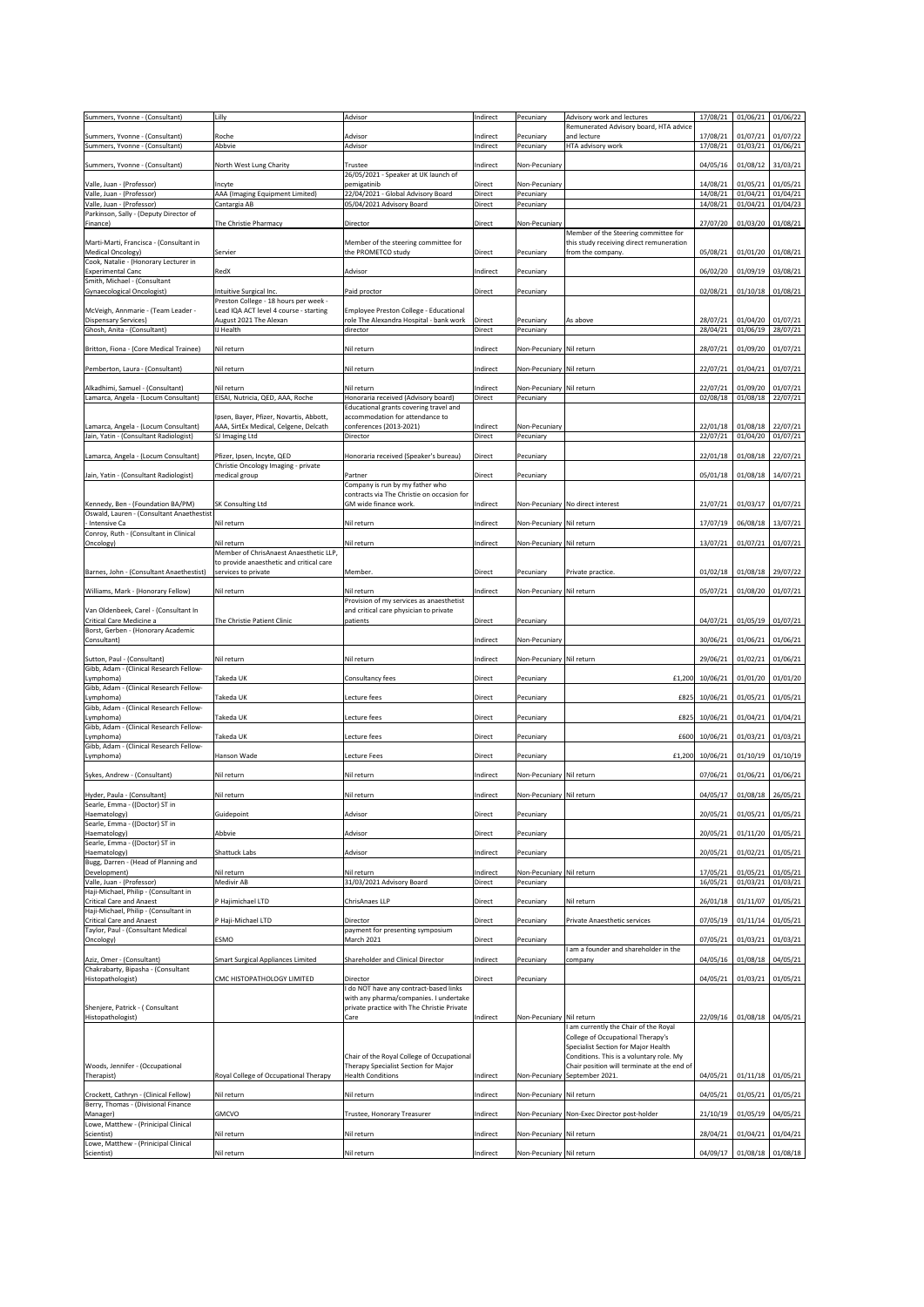| Summers, Yvonne - (Consultant)                                                 | Lilly                                                             | Advisor                                                                              | Indirect           | Pecuniary                  | Advisory work and lectures                                                              | 17/08/21                        | 01/06/21                      | 01/06/22            |
|--------------------------------------------------------------------------------|-------------------------------------------------------------------|--------------------------------------------------------------------------------------|--------------------|----------------------------|-----------------------------------------------------------------------------------------|---------------------------------|-------------------------------|---------------------|
| Summers, Yvonne - (Consultant)                                                 | Roche                                                             | Advisor                                                                              | Indirect           | Pecuniary                  | Remunerated Advisory board, HTA advice<br>and lecture                                   | 17/08/21                        | 01/07/21 01/07/22             |                     |
| Summers, Yvonne - (Consultant)                                                 | Abbvie                                                            | Advisor                                                                              | Indirect           | Pecuniary                  | HTA advisory work                                                                       | 17/08/21                        | 01/03/21                      | 01/06/21            |
| Summers, Yvonne - (Consultant)                                                 | North West Lung Charity                                           | Trustee                                                                              | Indirect           | Non-Pecuniary              |                                                                                         | 04/05/16                        | 01/08/12 31/03/21             |                     |
| Valle, Juan - (Professor)                                                      | Incyte                                                            | 26/05/2021 - Speaker at UK launch of<br>pemigatinib                                  | <b>Direct</b>      | Non-Pecuniary              |                                                                                         | 14/08/21                        | 01/05/21 01/05/21             |                     |
| Valle, Juan - (Professor)                                                      | AAA (Imaging Equipment Limited)                                   | 22/04/2021 - Global Advisory Board                                                   | Direct             | Pecuniary                  |                                                                                         | 14/08/21                        | 01/04/21                      | 01/04/21            |
| Valle, Juan - (Professor)<br>Parkinson, Sally - (Deputy Director of            | Cantargia AB                                                      | 05/04/2021 Advisory Board                                                            | Direct             | Pecuniary                  |                                                                                         | 14/08/21                        | 01/04/21                      | 01/04/23            |
| Finance)                                                                       | The Christie Pharmacy                                             | Director                                                                             | <b>Direct</b>      | Non-Pecuniary              |                                                                                         | 27/07/20                        | 01/03/20 01/08/21             |                     |
| Marti-Marti, Francisca - (Consultant in                                        |                                                                   | Member of the steering committee for                                                 |                    |                            | Member of the Steering committee for<br>this study receiving direct remuneration        |                                 |                               |                     |
| Medical Oncology)                                                              | Servier                                                           | the PROMETCO study                                                                   | <b>Direct</b>      | Pecuniary                  | from the company.                                                                       | 05/08/21                        | 01/01/20 01/08/21             |                     |
| Cook, Natalie - (Honorary Lecturer in<br><b>Experimental Canc</b>              | RedX                                                              | Advisor                                                                              | Indirect           | Pecuniary                  |                                                                                         | 06/02/20                        | $01/09/19$ 03/08/21           |                     |
| Smith, Michael - (Consultant                                                   | Intuitive Surgical Inc.                                           | Paid proctor                                                                         | <b>Direct</b>      | Pecuniary                  |                                                                                         | 02/08/21                        | 01/10/18 01/08/21             |                     |
| Gynaecological Oncologist)                                                     | Preston College - 18 hours per week -                             |                                                                                      |                    |                            |                                                                                         |                                 |                               |                     |
| McVeigh, Annmarie - (Team Leader -<br>Dispensary Services)                     | Lead IQA ACT level 4 course - starting<br>August 2021 The Alexan  | Employee Preston College - Educational<br>role The Alexandra Hospital - bank work    | <b>Direct</b>      | Pecuniary                  | As above                                                                                | 28/07/21                        | 01/04/20 01/07/21             |                     |
| Ghosh, Anita - (Consultant)                                                    | IJ Health                                                         | director                                                                             | Direct             | Pecuniary                  |                                                                                         | 28/04/21                        | 01/06/19                      | 28/07/21            |
| Britton, Fiona - (Core Medical Trainee)                                        | Nil return                                                        | Nil return                                                                           | Indirect           | Non-Pecuniary Nil return   |                                                                                         | 28/07/21                        | 01/09/20 01/07/21             |                     |
|                                                                                |                                                                   |                                                                                      |                    |                            |                                                                                         |                                 |                               |                     |
| Pemberton, Laura - (Consultant)                                                | Nil return                                                        | Nil return                                                                           | Indirect           | Non-Pecuniary Nil return   |                                                                                         | 22/07/21                        | 01/04/21 01/07/21             |                     |
| Alkadhimi, Samuel - (Consultant)                                               | Nil return                                                        | Nil return                                                                           | Indirect           | Non-Pecuniary Nil return   |                                                                                         | 22/07/21                        | 01/09/20 01/07/21             |                     |
| Lamarca, Angela - (Locum Consultant)                                           | EISAI, Nutricia, QED, AAA, Roche                                  | Honoraria received (Advisory board)<br>Educational grants covering travel and        | Direct             | Pecuniary                  |                                                                                         | 02/08/18                        | 01/08/18                      | 22/07/21            |
|                                                                                | Ipsen, Bayer, Pfizer, Novartis, Abbott,                           | accommodation for attendance to                                                      |                    |                            |                                                                                         |                                 |                               |                     |
| Lamarca, Angela - (Locum Consultant)<br>Jain, Yatin - (Consultant Radiologist) | AAA, SirtEx Medical, Celgene, Delcath<br>SJ Imaging Ltd           | conferences (2013-2021)<br>Director                                                  | Indirect<br>Direct | Non-Pecuniary<br>Pecuniary |                                                                                         | 22/01/18<br>22/07/21            | 01/08/18 22/07/21<br>01/04/20 | 01/07/21            |
|                                                                                |                                                                   |                                                                                      |                    |                            |                                                                                         |                                 |                               |                     |
| Lamarca, Angela - (Locum Consultant)                                           | Pfizer, Ipsen, Incyte, QED<br>Christie Oncology Imaging - private | Honoraria received (Speaker's bureau)                                                | Direct             | Pecuniary                  |                                                                                         | 22/01/18                        | 01/08/18 22/07/21             |                     |
| Jain, Yatin - (Consultant Radiologist)                                         | medical group                                                     | Partner                                                                              | <b>Direct</b>      | Pecuniary                  |                                                                                         | 05/01/18                        | 01/08/18 14/07/21             |                     |
|                                                                                |                                                                   | Company is run by my father who<br>contracts via The Christie on occasion for        |                    |                            |                                                                                         |                                 |                               |                     |
| Kennedy, Ben - (Foundation BA/PM)<br>Oswald, Lauren - (Consultant Anaethestist | <b>SK Consulting Ltd</b>                                          | GM wide finance work.                                                                | Indirect           |                            | Non-Pecuniary No direct interest                                                        | 21/07/21                        | 01/03/17 01/07/21             |                     |
| - Intensive Ca                                                                 | Nil return                                                        | Nil return                                                                           | Indirect           | Non-Pecuniary Nil return   |                                                                                         | 17/07/19                        | 06/08/18 13/07/21             |                     |
| Conroy, Ruth - (Consultant in Clinical<br>Oncology)                            | Nil return                                                        | Nil return                                                                           | Indirect           | Non-Pecuniary Nil return   |                                                                                         | 13/07/21                        | 01/07/21 01/07/21             |                     |
|                                                                                | Member of ChrisAnaest Anaesthetic LLP,                            |                                                                                      |                    |                            |                                                                                         |                                 |                               |                     |
| Barnes, John - (Consultant Anaethestist)                                       | to provide anaesthetic and critical care<br>services to private   | Member.                                                                              | <b>Direct</b>      | Pecuniary                  | Private practice.                                                                       | 01/02/18                        | 01/08/18 29/07/22             |                     |
|                                                                                |                                                                   |                                                                                      |                    |                            |                                                                                         |                                 |                               |                     |
| Williams, Mark - (Honorary Fellow)                                             | Nil return                                                        | Nil return<br>Provision of my services as anaesthetist                               | Indirect           | Non-Pecuniary Nil return   |                                                                                         | 05/07/21                        | 01/08/20 01/07/21             |                     |
| Van Oldenbeek, Carel - (Consultant In<br>Critical Care Medicine a              | The Christie Patient Clinic                                       | and critical care physician to private                                               |                    |                            |                                                                                         | 04/07/21                        | 01/05/19 01/07/21             |                     |
| Borst, Gerben - (Honorary Academic                                             |                                                                   | patients                                                                             | <b>Direct</b>      | Pecuniary                  |                                                                                         |                                 |                               |                     |
| Consultant)                                                                    |                                                                   |                                                                                      | Indirect           | Non-Pecuniary              |                                                                                         | 30/06/21                        | $01/06/21$ 01/06/21           |                     |
|                                                                                |                                                                   |                                                                                      |                    |                            |                                                                                         |                                 |                               |                     |
| Sutton, Paul - (Consultant)                                                    | Nil return                                                        | Nil return                                                                           | Indirect           | Non-Pecuniary Nil return   |                                                                                         | 29/06/21                        | 01/02/21 01/06/21             |                     |
| Gibb, Adam - (Clinical Research Fellow-                                        |                                                                   |                                                                                      |                    |                            |                                                                                         |                                 |                               |                     |
| Lymphoma)<br>Gibb, Adam - (Clinical Research Fellow-                           | Takeda UK                                                         | Consultancy fees                                                                     | <b>Direct</b>      | Pecuniary                  | £1,200                                                                                  | 10/06/21                        |                               | $01/01/20$ 01/01/20 |
| Lymphoma)<br>Gibb, Adam - (Clinical Research Fellow-                           | Takeda UK                                                         | Lecture fees                                                                         | Direct             | Pecuniary                  | £825                                                                                    | 10/06/21                        | $01/05/21$ 01/05/21           |                     |
| Lymphoma)                                                                      | Takeda UK                                                         | Lecture fees                                                                         | <b>Direct</b>      | Pecuniary                  |                                                                                         | £825 10/06/21 01/04/21 01/04/21 |                               |                     |
| Gibb, Adam - (Clinical Research Fellow-<br>Lymphoma)                           | Takeda UK                                                         | Lecture fees                                                                         | <b>Direct</b>      | Pecuniary                  | £600                                                                                    | 10/06/21                        | $01/03/21$ 01/03/21           |                     |
| Gibb, Adam - (Clinical Research Fellow-                                        |                                                                   |                                                                                      |                    |                            |                                                                                         |                                 |                               |                     |
| Lymphoma)                                                                      | Hanson Wade                                                       | <b>Lecture Fees</b>                                                                  | <b>Direct</b>      | Pecuniary                  | £1,200                                                                                  | 10/06/21                        | $01/10/19$ 01/10/19           |                     |
| Sykes, Andrew - (Consultant)                                                   | Nil return                                                        | Nil return                                                                           | Indirect           | Non-Pecuniary Nil return   |                                                                                         | 07/06/21                        | $01/06/21$ 01/06/21           |                     |
| Hyder, Paula - (Consultant)                                                    | Nil return                                                        | Nil return                                                                           | Indirect           | Non-Pecuniary Nil return   |                                                                                         | 04/05/17                        | $01/08/18$   26/05/21         |                     |
| Searle, Emma - ((Doctor) ST in                                                 |                                                                   |                                                                                      |                    |                            |                                                                                         |                                 |                               |                     |
| Haematology)<br>Searle, Emma - ((Doctor) ST in                                 | Guidepoint                                                        | Advisor                                                                              | <b>Direct</b>      | Pecuniary                  |                                                                                         | 20/05/21                        | 01/05/21 01/05/21             |                     |
| Haematology)<br>Searle, Emma - ((Doctor) ST in                                 | Abbvie                                                            | Advisor                                                                              | <b>Direct</b>      | Pecuniary                  |                                                                                         | 20/05/21                        | 01/11/20 01/05/21             |                     |
| Haematology)                                                                   | <b>Shattuck Labs</b>                                              | Advisor                                                                              | Indirect           | Pecuniary                  |                                                                                         | 20/05/21                        | 01/02/21                      | 01/05/21            |
| Bugg, Darren - (Head of Planning and<br>Development)                           | Nil return                                                        | Nil return                                                                           | Indirect           | Non-Pecuniary Nil return   |                                                                                         | 17/05/21                        | 01/05/21                      | 01/05/21            |
| Valle, Juan - (Professor)                                                      | Medivir AB                                                        | 31/03/2021 Advisory Board                                                            | Direct             | Pecuniary                  |                                                                                         | 16/05/21                        | 01/03/21                      | 01/03/21            |
| Haji-Michael, Philip - (Consultant in<br><b>Critical Care and Anaest</b>       | P Hajimichael LTD                                                 | ChrisAnaes LLP                                                                       | <b>Direct</b>      | Pecuniary                  | Nil return                                                                              | 26/01/18                        | $01/11/07$ 01/05/21           |                     |
| Haji-Michael, Philip - (Consultant in                                          |                                                                   | Director                                                                             |                    |                            |                                                                                         |                                 |                               |                     |
| <b>Critical Care and Anaest</b><br>Taylor, Paul - (Consultant Medical          | P Haji-Michael LTD                                                | payment for presenting symposium                                                     | <b>Direct</b>      | Pecuniary                  | Private Anaesthetic services                                                            | 07/05/19                        | $01/11/14$ 01/05/21           |                     |
| Oncology)                                                                      | <b>ESMO</b>                                                       | March 2021                                                                           | <b>Direct</b>      | Pecuniary                  | I am a founder and shareholder in the                                                   | 07/05/21                        | 01/03/21 01/03/21             |                     |
| Aziz, Omer - (Consultant)                                                      | <b>Smart Surgical Appliances Limited</b>                          | Shareholder and Clinical Director                                                    | Indirect           | Pecuniary                  | company                                                                                 | 04/05/16                        | 01/08/18 04/05/21             |                     |
| Chakrabarty, Bipasha - (Consultant<br>Histopathologist)                        | CMC HISTOPATHOLOGY LIMITED                                        | Director                                                                             | Direct             | Pecuniary                  |                                                                                         | 04/05/21                        | $01/03/21$ 01/05/21           |                     |
|                                                                                |                                                                   | I do NOT have any contract-based links                                               |                    |                            |                                                                                         |                                 |                               |                     |
| Shenjere, Patrick - (Consultant                                                |                                                                   | with any pharma/companies. I undertake<br>private practice with The Christie Private |                    |                            |                                                                                         |                                 |                               |                     |
| Histopathologist)                                                              |                                                                   | Care                                                                                 | Indirect           | Non-Pecuniary Nil return   |                                                                                         | 22/09/16                        | 01/08/18 04/05/21             |                     |
|                                                                                |                                                                   |                                                                                      |                    |                            | am currently the Chair of the Royal<br>College of Occupational Therapy's                |                                 |                               |                     |
|                                                                                |                                                                   |                                                                                      |                    |                            | Specialist Section for Major Health                                                     |                                 |                               |                     |
| Woods, Jennifer - (Occupational                                                |                                                                   | Chair of the Royal College of Occupational<br>Therapy Specialist Section for Major   |                    |                            | Conditions. This is a voluntary role. My<br>Chair position will terminate at the end of |                                 |                               |                     |
| Therapist)                                                                     | Royal College of Occupational Therapy                             | <b>Health Conditions</b>                                                             | Indirect           |                            | Non-Pecuniary September 2021.                                                           | 04/05/21                        | $01/11/18$ 01/05/21           |                     |
| Crockett, Cathryn - (Clinical Fellow)                                          | Nil return                                                        | Nil return                                                                           | Indirect           | Non-Pecuniary Nil return   |                                                                                         | 04/05/21                        | $01/05/21$ 01/05/21           |                     |
| Berry, Thomas - (Divisional Finance<br>Manager)                                | <b>GMCVO</b>                                                      | Trustee, Honorary Treasurer                                                          | Indirect           |                            | Non-Pecuniary Non-Exec Director post-holder                                             | 21/10/19                        | 01/05/19 04/05/21             |                     |
| Lowe, Matthew - (Prinicipal Clinical                                           |                                                                   |                                                                                      |                    |                            |                                                                                         |                                 |                               |                     |
| Scientist)<br>Lowe, Matthew - (Prinicipal Clinical                             | Nil return                                                        | Nil return                                                                           | Indirect           | Non-Pecuniary Nil return   |                                                                                         | 28/04/21                        | $01/04/21$ 01/04/21           |                     |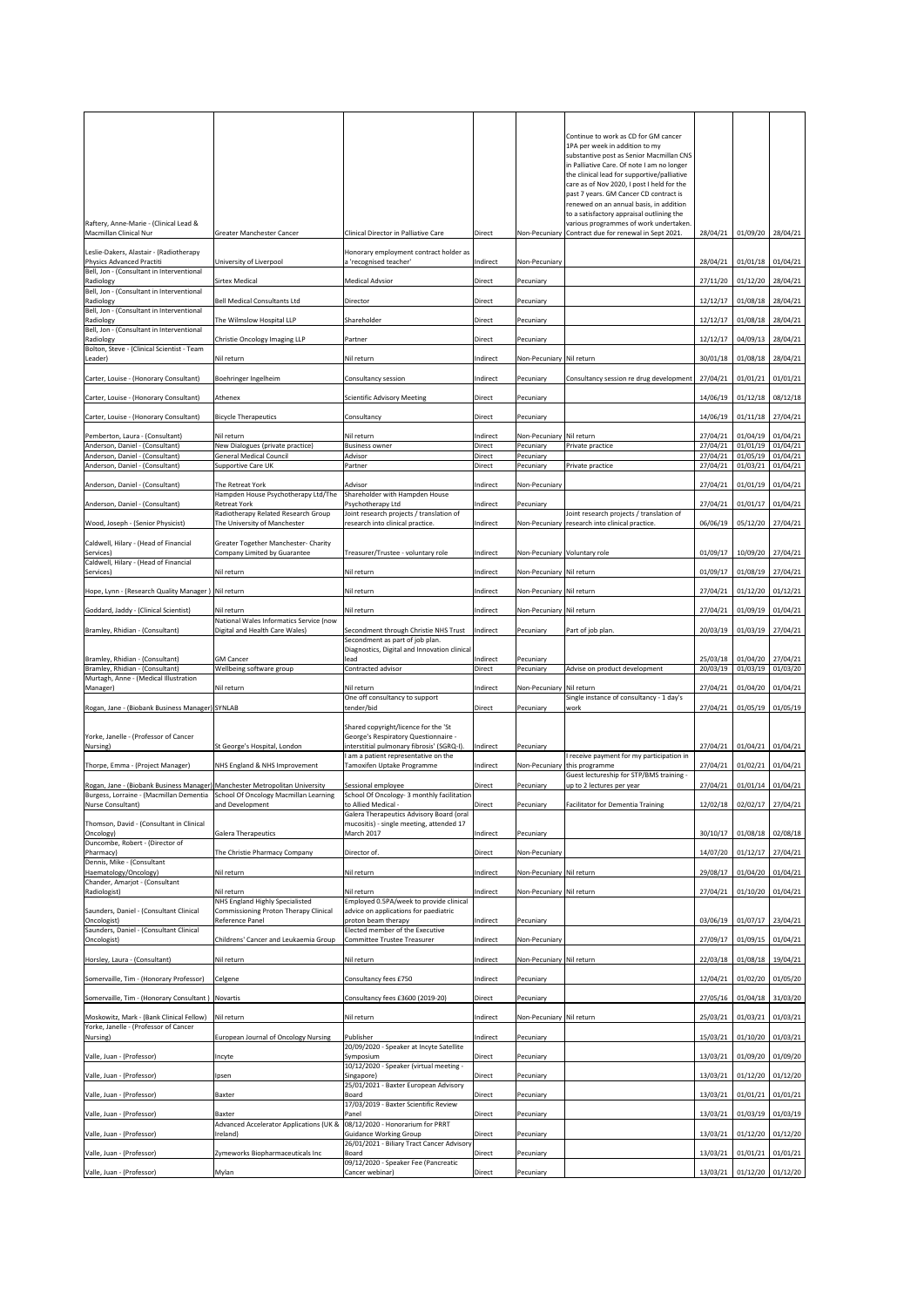|                                                                                                                                                                  |                                                                                 |                                                                                    |                    |                              | Continue to work as CD for GM cancer                                                       |                      |                               |                      |
|------------------------------------------------------------------------------------------------------------------------------------------------------------------|---------------------------------------------------------------------------------|------------------------------------------------------------------------------------|--------------------|------------------------------|--------------------------------------------------------------------------------------------|----------------------|-------------------------------|----------------------|
|                                                                                                                                                                  |                                                                                 |                                                                                    |                    |                              | 1PA per week in addition to my                                                             |                      |                               |                      |
|                                                                                                                                                                  |                                                                                 |                                                                                    |                    |                              | substantive post as Senior Macmillan CNS<br>in Palliative Care. Of note I am no longer     |                      |                               |                      |
|                                                                                                                                                                  |                                                                                 |                                                                                    |                    |                              | the clinical lead for supportive/palliative                                                |                      |                               |                      |
|                                                                                                                                                                  |                                                                                 |                                                                                    |                    |                              | care as of Nov 2020, I post I held for the<br>past 7 years. GM Cancer CD contract is       |                      |                               |                      |
|                                                                                                                                                                  |                                                                                 |                                                                                    |                    |                              | renewed on an annual basis, in addition                                                    |                      |                               |                      |
| Raftery, Anne-Marie - (Clinical Lead &                                                                                                                           |                                                                                 |                                                                                    |                    |                              | to a satisfactory appraisal outlining the<br>various programmes of work undertaken.        |                      |                               |                      |
| Macmillan Clinical Nur                                                                                                                                           | <b>Greater Manchester Cancer</b>                                                | Clinical Director in Palliative Care                                               | <b>Direct</b>      |                              | Non-Pecuniary Contract due for renewal in Sept 2021.                                       | 28/04/21             | 01/09/20 28/04/21             |                      |
| Leslie-Dakers, Alastair - (Radiotherapy                                                                                                                          |                                                                                 | Honorary employment contract holder as                                             |                    |                              |                                                                                            |                      |                               |                      |
| Physics Advanced Practiti<br>Bell, Jon - (Consultant in Interventional                                                                                           | University of Liverpool                                                         | a 'recognised teacher'                                                             | Indirect           | Non-Pecuniary                |                                                                                            | 28/04/21             | $01/01/18$ 01/04/21           |                      |
| Radiology                                                                                                                                                        | <b>Sirtex Medical</b>                                                           | <b>Medical Advsior</b>                                                             | <b>Direct</b>      | Pecuniary                    |                                                                                            | 27/11/20             | $01/12/20$ 28/04/21           |                      |
| Bell, Jon - (Consultant in Interventional<br>Radiology                                                                                                           | <b>Bell Medical Consultants Ltd</b>                                             | Director                                                                           | <b>Direct</b>      | Pecuniary                    |                                                                                            | 12/12/17             | 01/08/18 28/04/21             |                      |
| Bell, Jon - (Consultant in Interventional                                                                                                                        |                                                                                 |                                                                                    |                    |                              |                                                                                            |                      |                               |                      |
| Radiology<br>Bell, Jon - (Consultant in Interventional                                                                                                           | The Wilmslow Hospital LLP                                                       | Shareholder                                                                        | <b>Direct</b>      | Pecuniary                    |                                                                                            | 12/12/17             | 01/08/18 28/04/21             |                      |
| Radiology<br>Bolton, Steve - (Clinical Scientist - Team                                                                                                          | Christie Oncology Imaging LLP                                                   | Partner                                                                            | <b>Direct</b>      | Pecuniary                    |                                                                                            | 12/12/17             | 04/09/13 28/04/21             |                      |
| Leader)                                                                                                                                                          | Nil return                                                                      | Nil return                                                                         | Indirect           | Non-Pecuniary Nil return     |                                                                                            | 30/01/18             | 01/08/18 28/04/21             |                      |
| Carter, Louise - (Honorary Consultant)                                                                                                                           | Boehringer Ingelheim                                                            | Consultancy session                                                                | Indirect           | Pecuniary                    | Consultancy session re drug development                                                    | 27/04/21             | 01/01/21                      | 01/01/21             |
| Carter, Louise - (Honorary Consultant)                                                                                                                           | Athenex                                                                         | Scientific Advisory Meeting                                                        | <b>Direct</b>      | Pecuniary                    |                                                                                            | 14/06/19             | $01/12/18$ 08/12/18           |                      |
|                                                                                                                                                                  |                                                                                 |                                                                                    |                    |                              |                                                                                            |                      |                               |                      |
| Carter, Louise - (Honorary Consultant)                                                                                                                           | <b>Bicycle Therapeutics</b>                                                     | Consultancy                                                                        | Direct             | Pecuniary                    |                                                                                            | 14/06/19             | 01/11/18 27/04/21             |                      |
| Pemberton, Laura - (Consultant)                                                                                                                                  | Nil return                                                                      | Nil return                                                                         | Indirect           | Non-Pecuniary Nil return     |                                                                                            | 27/04/21             | 01/04/19 01/04/21             |                      |
| Anderson, Daniel - (Consultant)<br>Anderson, Daniel - (Consultant)                                                                                               | New Dialogues (private practice)<br><b>General Medical Council</b>              | <b>Business owner</b><br>Advisor                                                   | Direct<br>Direct   | Pecuniary<br>Pecuniary       | Private practice                                                                           | 27/04/21<br>27/04/21 | 01/01/19<br>01/05/19          | 01/04/21<br>01/04/21 |
| Anderson, Daniel - (Consultant)                                                                                                                                  | Supportive Care UK                                                              | Partner                                                                            | Direct             | Pecuniary                    | Private practice                                                                           | 27/04/21             | 01/03/21                      | 01/04/21             |
| Anderson, Daniel - (Consultant)                                                                                                                                  | The Retreat York                                                                | Advisor                                                                            | Indirect           | Non-Pecuniary                |                                                                                            | 27/04/21             | $01/01/19$ 01/04/21           |                      |
| Anderson, Daniel - (Consultant)                                                                                                                                  | Hampden House Psychotherapy Ltd/The<br><b>Retreat York</b>                      | Shareholder with Hampden House<br>Psychotherapy Ltd                                | Indirect           | Pecuniary                    |                                                                                            | 27/04/21             | 01/01/17 01/04/21             |                      |
| Wood, Joseph - (Senior Physicist)                                                                                                                                | Radiotherapy Related Research Group<br>The University of Manchester             | Joint research projects / translation of<br>research into clinical practice.       | Indirect           |                              | Joint research projects / translation of<br>Non-Pecuniary research into clinical practice. | 06/06/19             | 05/12/20 27/04/21             |                      |
|                                                                                                                                                                  |                                                                                 |                                                                                    |                    |                              |                                                                                            |                      |                               |                      |
| Caldwell, Hilary - (Head of Financial<br>Services)                                                                                                               | <b>Greater Together Manchester- Charity</b><br>Company Limited by Guarantee     | Treasurer/Trustee - voluntary role                                                 | Indirect           | Non-Pecuniary Voluntary role |                                                                                            | 01/09/17             | 10/09/20 27/04/21             |                      |
| Caldwell, Hilary - (Head of Financial<br>Services)                                                                                                               | Nil return                                                                      | Nil return                                                                         | Indirect           | Non-Pecuniary Nil return     |                                                                                            | 01/09/17             | 01/08/19 27/04/21             |                      |
| Hope, Lynn - (Research Quality Manager) Nil return                                                                                                               |                                                                                 | Nil return                                                                         | Indirect           | Non-Pecuniary Nil return     |                                                                                            | 27/04/21             | $01/12/20$ 01/12/21           |                      |
|                                                                                                                                                                  |                                                                                 |                                                                                    |                    |                              |                                                                                            |                      |                               |                      |
| Goddard, Jaddy - (Clinical Scientist)                                                                                                                            | Nil return<br>National Wales Informatics Service (now                           | Nil return                                                                         | Indirect           | Non-Pecuniary Nil return     |                                                                                            | 27/04/21             | 01/09/19 01/04/21             |                      |
| Bramley, Rhidian - (Consultant)                                                                                                                                  | Digital and Health Care Wales)                                                  | Secondment through Christie NHS Trust                                              | Indirect           | Pecuniary                    | Part of job plan.                                                                          | 20/03/19             | 01/03/19 27/04/21             |                      |
|                                                                                                                                                                  |                                                                                 |                                                                                    |                    |                              |                                                                                            |                      |                               |                      |
|                                                                                                                                                                  |                                                                                 | Secondment as part of job plan.<br>Diagnostics, Digital and Innovation clinical    |                    |                              |                                                                                            |                      |                               |                      |
| Bramley, Rhidian - (Consultant)<br>Bramley, Rhidian - (Consultant)                                                                                               | <b>GM Cancer</b><br>Wellbeing software group                                    | lead<br>Contracted advisor                                                         | Indirect<br>Direct | Pecuniary<br>Pecuniary       | Advise on product development                                                              | 25/03/18<br>20/03/19 | 01/04/20 27/04/21<br>01/03/19 | 01/03/20             |
| Murtagh, Anne - (Medical Illustration                                                                                                                            |                                                                                 |                                                                                    |                    |                              |                                                                                            |                      |                               |                      |
| Manager)                                                                                                                                                         | Nil return                                                                      | Nil return<br>One off consultancy to support                                       | Indirect           | Non-Pecuniary Nil return     | Single instance of consultancy - 1 day's                                                   | 27/04/21             | 01/04/20 01/04/21             |                      |
| Rogan, Jane - (Biobank Business Manager) SYNLAB                                                                                                                  |                                                                                 | tender/bid                                                                         | <b>Direct</b>      | Pecuniary                    | work                                                                                       | 27/04/21             | 01/05/19                      | 01/05/19             |
| Yorke, Janelle - (Professor of Cancer                                                                                                                            |                                                                                 | Shared copyright/licence for the 'St                                               |                    |                              |                                                                                            |                      |                               |                      |
| Nursing)                                                                                                                                                         | St George's Hospital, London                                                    | George's Respiratory Questionnaire -<br>interstitial pulmonary fibrosis' (SGRQ-I). | Indirect           | Pecuniary                    |                                                                                            | 27/04/21             | 01/04/21 01/04/21             |                      |
| Thorpe, Emma - (Project Manager)                                                                                                                                 | NHS England & NHS Improvement                                                   | I am a patient representative on the<br>Tamoxifen Uptake Programme                 | Indirect           |                              | I receive payment for my participation in<br>Non-Pecuniary this programme                  | 27/04/21             | 01/02/21                      | 01/04/21             |
|                                                                                                                                                                  |                                                                                 |                                                                                    |                    |                              | Guest lectureship for STP/BMS training -                                                   |                      |                               |                      |
| Rogan, Jane - (Biobank Business Manager)   Manchester Metropolitan University<br>Burgess, Lorraine - (Macmillan Dementia   School Of Oncology Macmillan Learning |                                                                                 | Sessional employee<br>School Of Oncology- 3 monthly facilitation                   | Direct             | Pecuniary                    | up to 2 lectures per year                                                                  | 27/04/21             | 01/01/14 01/04/21             |                      |
| Nurse Consultant)                                                                                                                                                | and Development                                                                 | to Allied Medical -<br>Galera Therapeutics Advisory Board (oral                    | Direct             | Pecuniary                    | <b>Facilitator for Dementia Training</b>                                                   | 12/02/18             | 02/02/17 27/04/21             |                      |
| Thomson, David - (Consultant in Clinical                                                                                                                         |                                                                                 | mucositis) - single meeting, attended 17<br>March 2017                             |                    |                              |                                                                                            |                      |                               |                      |
| Oncology)<br>Duncombe, Robert - (Director of                                                                                                                     | <b>Galera Therapeutics</b>                                                      |                                                                                    | Indirect           | Pecuniary                    |                                                                                            | 30/10/17             | $01/08/18$ 02/08/18           |                      |
| Pharmacy)<br>Dennis, Mike - (Consultant                                                                                                                          | The Christie Pharmacy Company                                                   | Director of.                                                                       | <b>Direct</b>      | Non-Pecuniary                |                                                                                            | 14/07/20             | $01/12/17$   27/04/21         |                      |
| Haematology/Oncology)                                                                                                                                            | Nil return                                                                      | Nil return                                                                         | Indirect           | Non-Pecuniary Nil return     |                                                                                            | 29/08/17             | 01/04/20 01/04/21             |                      |
| Chander, Amarjot - (Consultant<br>Radiologist)                                                                                                                   | Nil return                                                                      | Nil return                                                                         | Indirect           | Non-Pecuniary Nil return     |                                                                                            | 27/04/21             | 01/10/20                      | 01/04/21             |
| Saunders, Daniel - (Consultant Clinical                                                                                                                          | NHS England Highly Specialisted<br><b>Commissioning Proton Therapy Clinical</b> | Employed 0.5PA/week to provide clinical<br>advice on applications for paediatric   |                    |                              |                                                                                            |                      |                               |                      |
| Oncologist)                                                                                                                                                      | Reference Panel                                                                 | proton beam therapy                                                                | Indirect           | Pecuniary                    |                                                                                            | 03/06/19             | 01/07/17 23/04/21             |                      |
| Saunders, Daniel - (Consultant Clinical<br>Oncologist)                                                                                                           | Childrens' Cancer and Leukaemia Group                                           | Elected member of the Executive<br><b>Committee Trustee Treasurer</b>              | Indirect           | Non-Pecuniary                |                                                                                            | 27/09/17             | 01/09/15 01/04/21             |                      |
| Horsley, Laura - (Consultant)                                                                                                                                    | Nil return                                                                      | Nil return                                                                         | Indirect           | Non-Pecuniary Nil return     |                                                                                            | 22/03/18             | 01/08/18 19/04/21             |                      |
| Somervaille, Tim - (Honorary Professor)                                                                                                                          | Celgene                                                                         | Consultancy fees £750                                                              | Indirect           | Pecuniary                    |                                                                                            | 12/04/21             | 01/02/20 01/05/20             |                      |
|                                                                                                                                                                  |                                                                                 |                                                                                    |                    |                              |                                                                                            |                      |                               |                      |
| Somervaille, Tim - (Honorary Consultant) Novartis                                                                                                                |                                                                                 | Consultancy fees £3600 (2019-20)                                                   | <b>Direct</b>      | Pecuniary                    |                                                                                            | 27/05/16             | 01/04/18 31/03/20             |                      |
| Moskowitz, Mark - (Bank Clinical Fellow)<br>Yorke, Janelle - (Professor of Cancer                                                                                | Nil return                                                                      | Nil return                                                                         | Indirect           | Non-Pecuniary Nil return     |                                                                                            | 25/03/21             | 01/03/21                      | 01/03/21             |
| Nursing)                                                                                                                                                         | <b>European Journal of Oncology Nursing</b>                                     | Publisher<br>20/09/2020 - Speaker at Incyte Satellite                              | Indirect           | Pecuniary                    |                                                                                            | 15/03/21             | $01/10/20$ 01/03/21           |                      |
| Valle, Juan - (Professor)                                                                                                                                        | Incyte                                                                          | Symposium                                                                          | Direct             | Pecuniary                    |                                                                                            | 13/03/21             | 01/09/20 01/09/20             |                      |
| Valle, Juan - (Professor)                                                                                                                                        | Ipsen                                                                           | 10/12/2020 - Speaker (virtual meeting -<br>Singapore)                              | Direct             | Pecuniary                    |                                                                                            | 13/03/21             | $01/12/20$ 01/12/20           |                      |
| Valle, Juan - (Professor)                                                                                                                                        | <b>Baxter</b>                                                                   | 25/01/2021 - Baxter European Advisory<br><b>Board</b>                              | <b>Direct</b>      | Pecuniary                    |                                                                                            | 13/03/21             | $01/01/21$ 01/01/21           |                      |
| Valle, Juan - (Professor)                                                                                                                                        | <b>Baxter</b>                                                                   | 17/03/2019 - Baxter Scientific Review<br>Panel                                     | Direct             |                              |                                                                                            | 13/03/21             |                               |                      |
|                                                                                                                                                                  | <b>Advanced Accelerator Applications (UK &amp;</b>                              | 08/12/2020 - Honorarium for PRRT                                                   |                    | Pecuniary                    |                                                                                            |                      | $01/03/19$ 01/03/19           |                      |
| Valle, Juan - (Professor)                                                                                                                                        | Ireland)                                                                        | <b>Guidance Working Group</b><br>26/01/2021 - Biliary Tract Cancer Advisory        | Direct             | Pecuniary                    |                                                                                            | 13/03/21             | $01/12/20$ 01/12/20           |                      |
| Valle, Juan - (Professor)                                                                                                                                        | Zymeworks Biopharmaceuticals Inc                                                | <b>Board</b><br>09/12/2020 - Speaker Fee (Pancreatic                               | <b>Direct</b>      | Pecuniary                    |                                                                                            | 13/03/21             | $01/01/21$ 01/01/21           |                      |